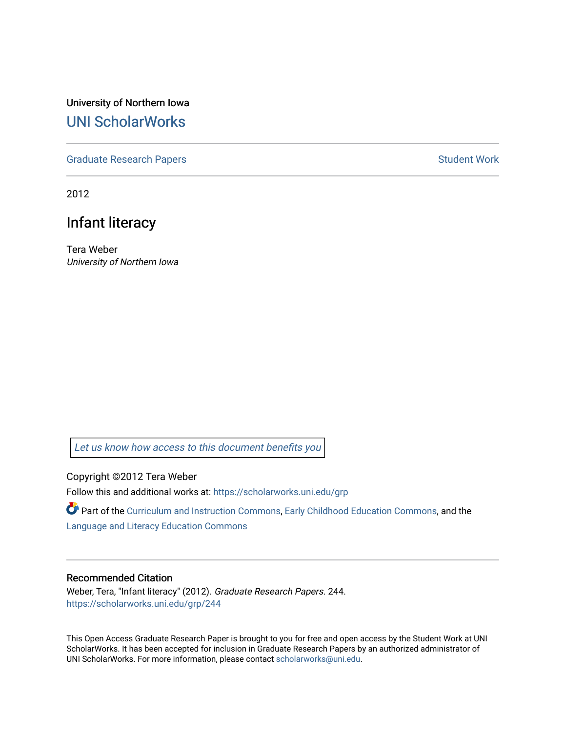University of Northern Iowa [UNI ScholarWorks](https://scholarworks.uni.edu/) 

[Graduate Research Papers](https://scholarworks.uni.edu/grp) **Student Work** Student Work

2012

## Infant literacy

Tera Weber University of Northern Iowa

[Let us know how access to this document benefits you](https://scholarworks.uni.edu/feedback_form.html) 

Copyright ©2012 Tera Weber

Follow this and additional works at: [https://scholarworks.uni.edu/grp](https://scholarworks.uni.edu/grp?utm_source=scholarworks.uni.edu%2Fgrp%2F244&utm_medium=PDF&utm_campaign=PDFCoverPages) 

Part of the [Curriculum and Instruction Commons,](http://network.bepress.com/hgg/discipline/786?utm_source=scholarworks.uni.edu%2Fgrp%2F244&utm_medium=PDF&utm_campaign=PDFCoverPages) [Early Childhood Education Commons,](http://network.bepress.com/hgg/discipline/1377?utm_source=scholarworks.uni.edu%2Fgrp%2F244&utm_medium=PDF&utm_campaign=PDFCoverPages) and the [Language and Literacy Education Commons](http://network.bepress.com/hgg/discipline/1380?utm_source=scholarworks.uni.edu%2Fgrp%2F244&utm_medium=PDF&utm_campaign=PDFCoverPages) 

#### Recommended Citation

Weber, Tera, "Infant literacy" (2012). Graduate Research Papers. 244. [https://scholarworks.uni.edu/grp/244](https://scholarworks.uni.edu/grp/244?utm_source=scholarworks.uni.edu%2Fgrp%2F244&utm_medium=PDF&utm_campaign=PDFCoverPages) 

This Open Access Graduate Research Paper is brought to you for free and open access by the Student Work at UNI ScholarWorks. It has been accepted for inclusion in Graduate Research Papers by an authorized administrator of UNI ScholarWorks. For more information, please contact [scholarworks@uni.edu.](mailto:scholarworks@uni.edu)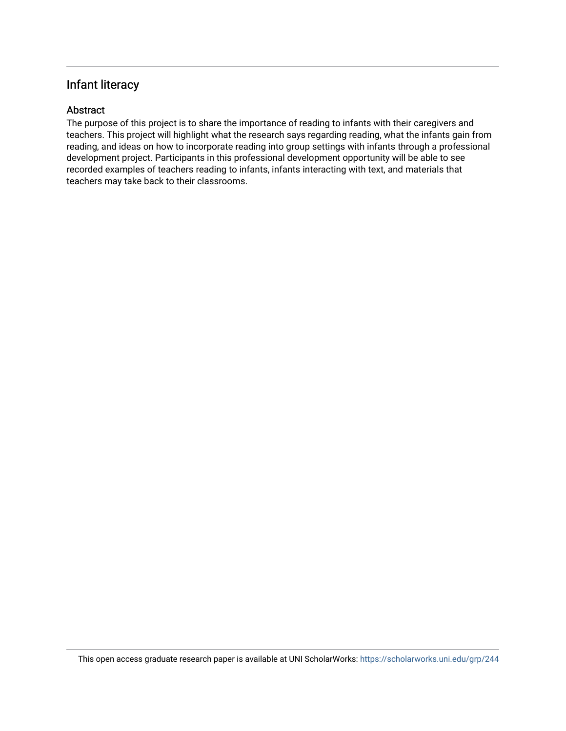### Infant literacy

#### Abstract

The purpose of this project is to share the importance of reading to infants with their caregivers and teachers. This project will highlight what the research says regarding reading, what the infants gain from reading, and ideas on how to incorporate reading into group settings with infants through a professional development project. Participants in this professional development opportunity will be able to see recorded examples of teachers reading to infants, infants interacting with text, and materials that teachers may take back to their classrooms.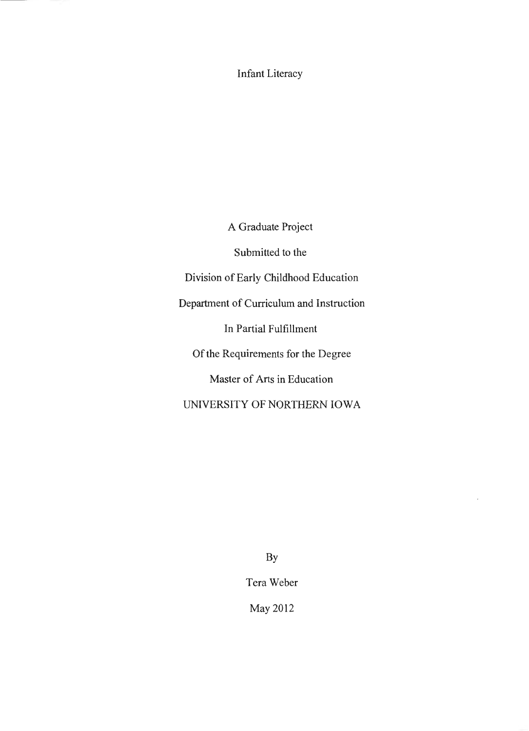Infant Literacy

A Graduate Project

Submitted to the

Division of Early Childhood Education

Department of Curriculum and Instruction

In Partial Fulfillment

Of the Requirements for the Degree

Master of Arts in Education

UNIVERSITY OF NORTHERN IOWA

By

Tera Weber

May 2012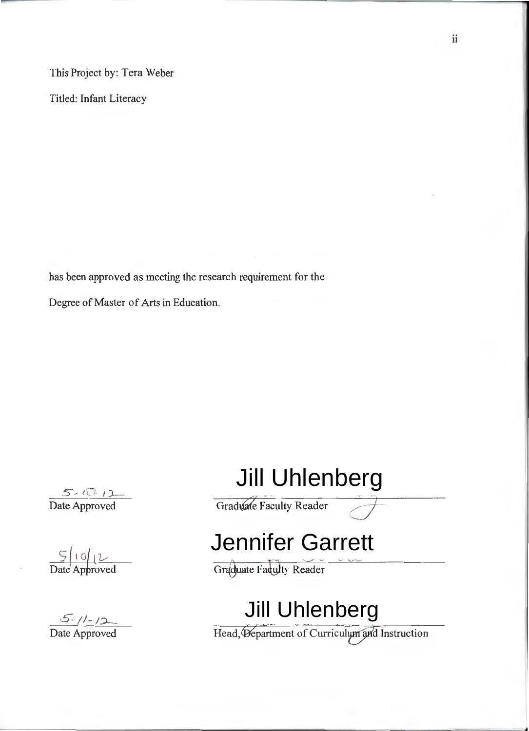This Project by: Tera Weber

Titled: Infant Literacy

has been approved as meeting the research requirement for the

Degree of Master of Arts in Education.

<sup>5</sup> - *tu-* I )\_\_ Date Approved

 $5|0|12$ Date Approved

5 - I *I* - *I:;)\_\_\_* 

## Jill Uhlenberg Graduate Faculty Reader

# Jennifer Garrett<br> **Graduate Fakulty Reader**<br>
Jill Uhlenberg

Date Approved Head,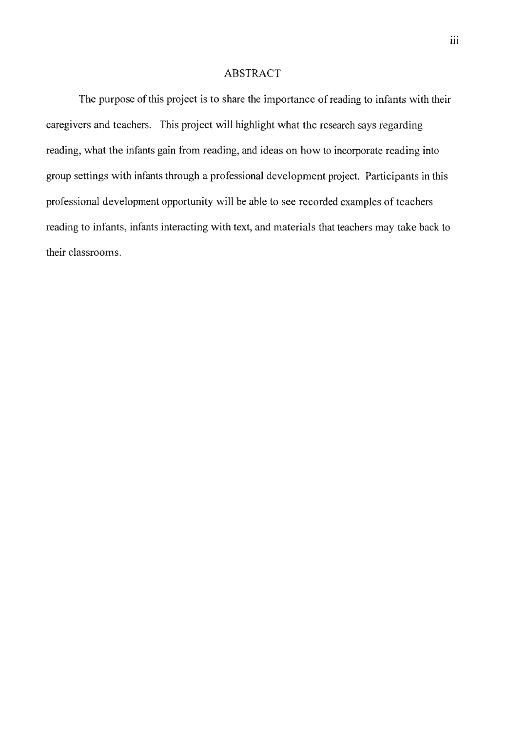#### ABSTRACT

The purpose of this project is to share the importance of reading to infants with their caregivers and teachers. This project will highlight what the research says regarding reading, what the infants gain from reading, and ideas on how to incorporate reading into group settings with infants through a professional development project. Participants in this professional development opportunity will be able to see recorded examples of teachers reading to infants, infants interacting with text, and materials that teachers may take back to their classrooms.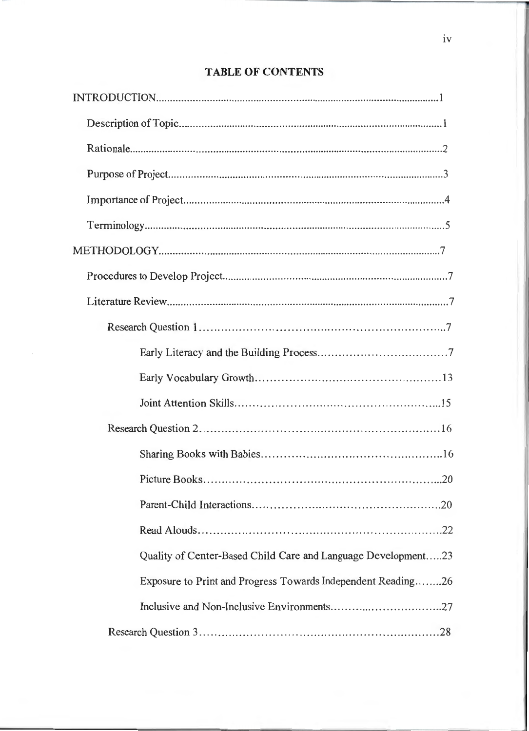# Quality of Center-Based Child Care and Language Development.....23 Exposure to Print and Progress Towards Independent Reading........26

#### **TABLE OF CONTENTS**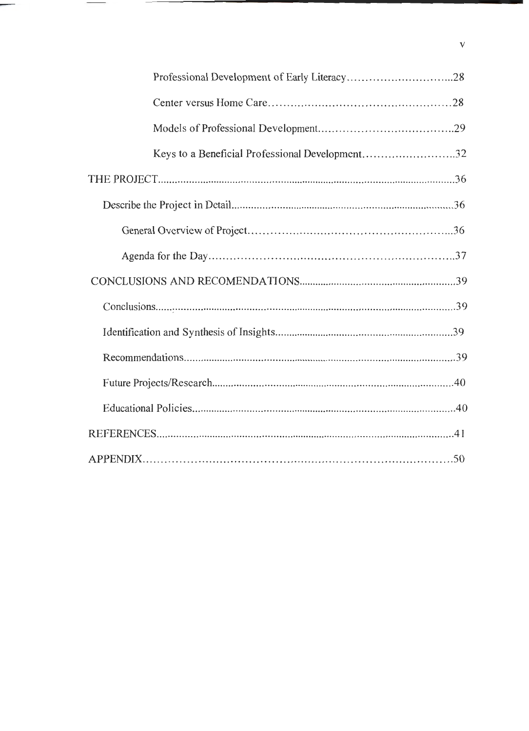| Keys to a Beneficial Professional Development32 |
|-------------------------------------------------|
|                                                 |
|                                                 |
|                                                 |
|                                                 |
|                                                 |
|                                                 |
|                                                 |
|                                                 |
|                                                 |
|                                                 |
|                                                 |
|                                                 |

 $\mathbf v$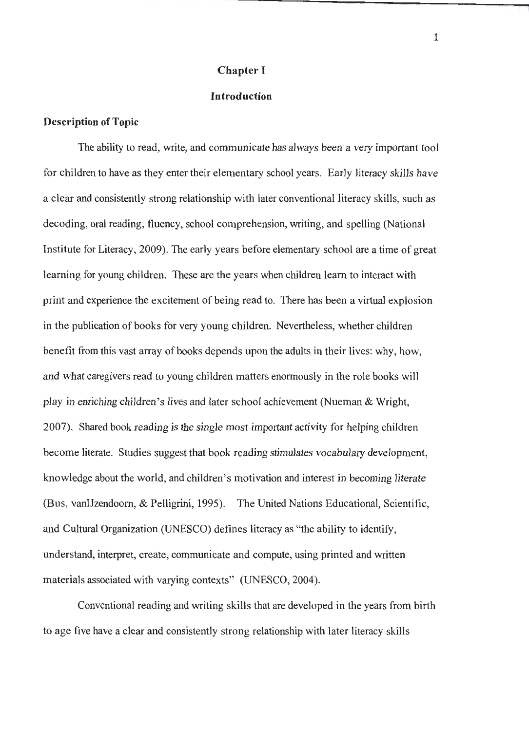#### **Chapter I**

#### **Introduction**

#### **Description of Topic**

The ability to read, write, and communicate has always been a very important tool for children to have as they enter their elementary school years. Early literacy skills have a clear and consistently strong relationship with later conventional literacy skills, such as decoding, oral reading, fluency, school comprehension, writing, and spelling (National Institute for Literacy, 2009). The early years before elementary school are a time of great learning for young children. These are the years when children learn to interact with print and experience the excitement of being read to. There has been a virtual explosion in the publication of books for very young children. Nevertheless, whether children benefit from this vast array of books depends upon the adults in their lives: why, how, and what caregivers read to young children matters enormously in the role books will play in enriching children's lives and later school achievement (Nueman & Wright, 2007). Shared book reading is the single most important activity for helping children become literate. Studies suggest that book reading stimulates vocabulary development, knowledge about the world, and children's motivation and interest in becoming literate (Bus, vanIJzendoom, & Pelligrini, 1995). The United Nations Educational, Scientific, and Cultural Organization (UNESCO) defines literacy as "the ability to identify, understand, interpret, create, communicate and compute, using printed and written materials associated with varying contexts" (UNESCO, 2004).

Conventional reading and writing skills that are developed in the years from birth to age five have a clear and consistently strong relationship with later literacy skills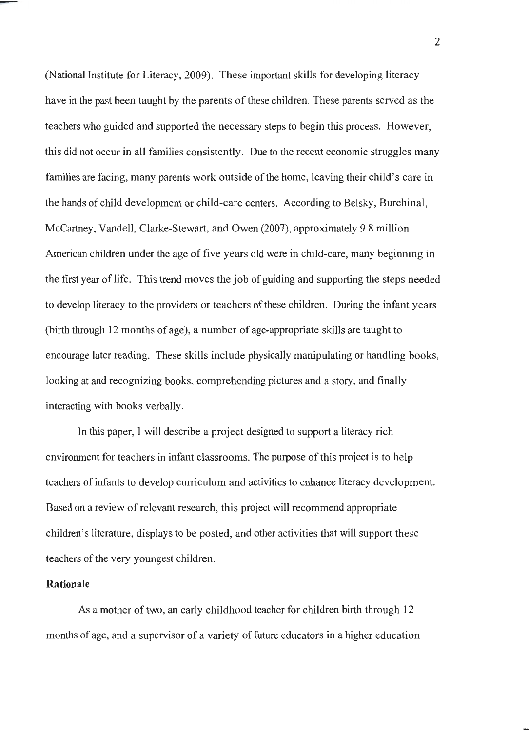(National Institute for Literacy, 2009). These important skills for developing literacy have in the past been taught by the parents of these children. These parents served as the teachers who guided and supported the necessary steps to begin this process. However, this did not occur in all families consistently. Due to the recent economic struggles many families are facing, many parents work outside of the home, leaving their child's care in the hands of child development or child-care centers. According to Belsky, Burchinal, McCartney, Vandell, Clarke-Stewart, and Owen (2007), approximately 9.8 million American children under the age of five years old were in child-care, many beginning in the first year of life. This trend moves the job of guiding and supporting the steps needed to develop literacy to the providers or teachers of these children. During the infant years (birth through 12 months of age), a number of age-appropriate skills are taught to encourage later reading. These skills include physically manipulating or handling books, looking at and recognizing books, comprehending pictures and a story, and finally interacting with books verbally.

In this paper, I will describe a project designed to support a literacy rich environment for teachers in infant classrooms. The purpose of this project is to help teachers of infants to develop curriculum and activities to enhance literacy development. Based on a review of relevant research, this project will recommend appropriate children's literature, displays to be posted, and other activities that will support these teachers of the very youngest children.

#### **Rationale**

As a mother of two, an early childhood teacher for children birth through 12 months of age, and a supervisor of a variety of future educators in a higher education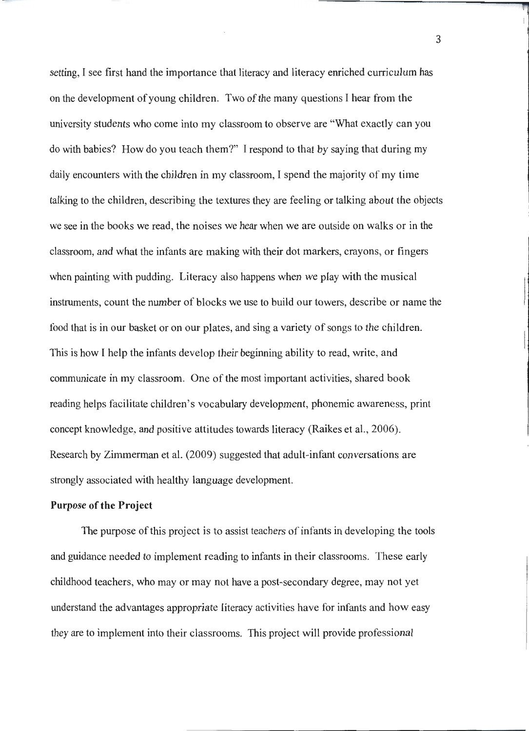setting, I see first hand the importance that literacy and literacy enriched curriculum has on the development of young children. Two of the many questions I hear from the university students who come into my classroom to observe are "What exactly can you do with babies? How do you teach them?" I respond to that by saying that during my daily encounters with the children in my classroom, I spend the majority of my time talking to the children, describing the textures they are feeling or talking about the objects we see in the books we read, the noises we hear when we are outside on walks or in the classroom, and what the infants are making with their dot markers, crayons, or fingers when painting with pudding. Literacy also happens when we play with the musical instruments, count the number of blocks we use to build our towers, describe or name the food that is in our basket or on our plates, and sing a variety of songs to the children. This is how I help the infants develop their beginning ability to read, write, and communicate in my classroom. One of the most important activities, shared book reading helps facilitate children's vocabulary development, phonemic awareness, print concept knowledge, and positive attitudes towards literacy (Raikes et al., 2006). Research by Zimmerman et al. (2009) suggested that adult-infant conversations are strongly associated with healthy language development.

#### **Purpose of the Project**

The purpose of this project is to assist teachers of infants in developing the tools and guidance needed to implement reading to infants in their classrooms. These early childhood teachers, who may or may not have a post-secondary degree, may not yet understand the advantages appropriate literacy activities have for infants and how easy they are to implement into their classrooms. This project will provide professional

3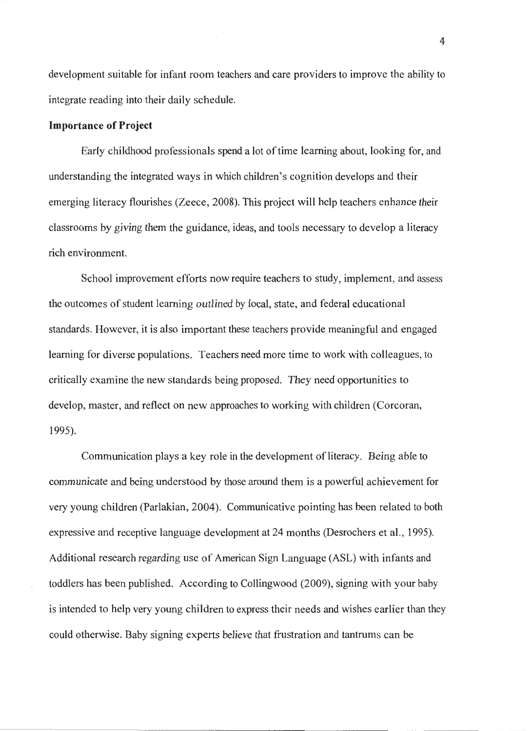development suitable for infant room teachers and care providers to improve the ability to integrate reading into their daily schedule.

#### **Importance of Project**

Early childhood professionals spend a lot of time learning about, looking for, and understanding the integrated ways in which children's cognition develops and their emerging literacy flourishes (Zeece, 2008). This project will help teachers enhance their classrooms by giving them the guidance, ideas, and tools necessary to develop a literacy rich environment.

School improvement efforts now require teachers to study, implement, and assess the outcomes of student learning outlined by local, state, and federal educational standards. However, it is also important these teachers provide meaningful and engaged learning for diverse populations. Teachers need more time to work with colleagues, to critically examine the new standards being proposed. They need opportunities to develop, master, and reflect on new approaches to working with children (Corcoran, 1995).

Communication plays a key role in the development of literacy. Being able to communicate and being understood by those around them is a powerful achievement for very young children (Parlakian, 2004). Communicative pointing has been related to both expressive and receptive language development at 24 months (Desrochers et al., 1995). Additional research regarding use of American Sign Language (ASL) with infants and toddlers has been published. According to Collingwood (2009), signing with your baby is intended to help very young children to express their needs and wishes earlier than they could otherwise. Baby signing experts believe that frustration and tantrums can be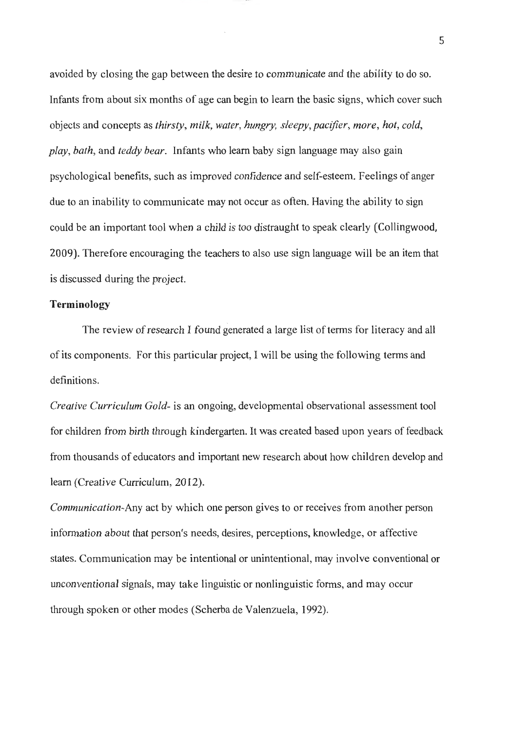avoided by closing the gap between the desire to communicate and the ability to do so. Infants from about six months of age can begin to learn the basic signs, which cover such objects and concepts as *thirsty, milk, water, hungry, sleepy,pacifier, more, hot, cold, play, bath,* and *teddy bear.* Infants who learn baby sign language may also gain psychological benefits, such as improved confidence and self-esteem. Feelings of anger due to an inability to communicate may not occur as often. Having the ability to sign could be an important tool when a child is too distraught to speak clearly (Collingwood, 2009). Therefore encouraging the teachers to also use sign language will be an item that is discussed during the project.

#### **Terminology**

The review of research I found generated a large list of terms for literacy and all of its components. For this particular project, I will be using the following terms and definitions.

*Creative Curriculum Gold-* is an ongoing, developmental observational assessment tool for children from birth through kindergarten. It was created based upon years of feedback from thousands of educators and important new research about how children develop and learn (Creative Curriculum, 2012).

*Communication-Any* act by which one person gives to or receives from another person information about that person's needs, desires, perceptions, knowledge, or affective states. Communication may be intentional or unintentional, may involve conventional or unconventional signals, may take linguistic or nonlingµistic forms, and may occur through spoken or other modes (Scherba de Valenzuela, 1992).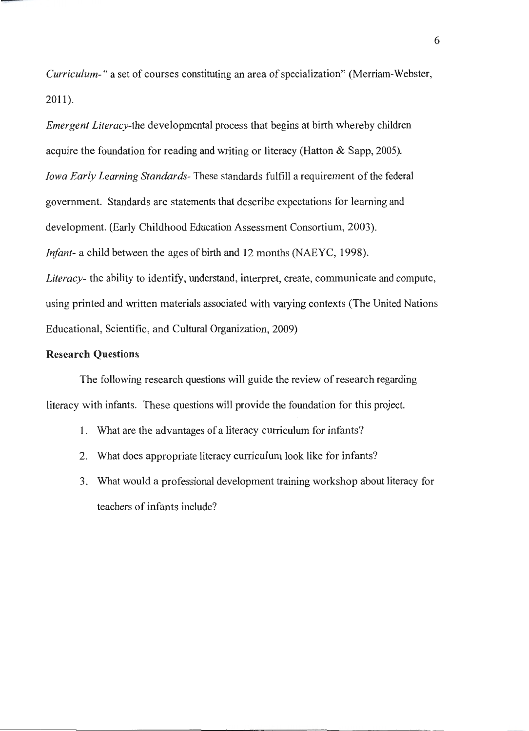*Curriculum- "* a set of courses constituting an area of specialization" (Merriam-Webster, 2011).

*Emergent Literacy-the* developmental process that begins at birth whereby children acquire the foundation for reading and writing or literacy (Hatton & Sapp, 2005). *Iowa Early Learning Standards-* These standards fulfill a requirement of the federal government. Standards are statements that describe expectations for learning and development. (Early Childhood Education Assessment Consortium, 2003). *Infant-* a child between the ages of birth and 12 months (NAEYC, 1998). *Literacy-* the ability to identify, understand, interpret, create, communicate and compute, using printed and written materials associated with varying contexts (The United Nations Educational, Scientific, and Cultural Organization, 2009)

#### **Research Questions**

The following research questions will guide the review of research regarding literacy with infants. These questions will provide the foundation for this project.

- 1. What are the advantages of a literacy curriculum for infants?
- 2. What does appropriate literacy curriculum look like for infants?
- 3. What would a professional development training workshop about literacy for teachers of infants include?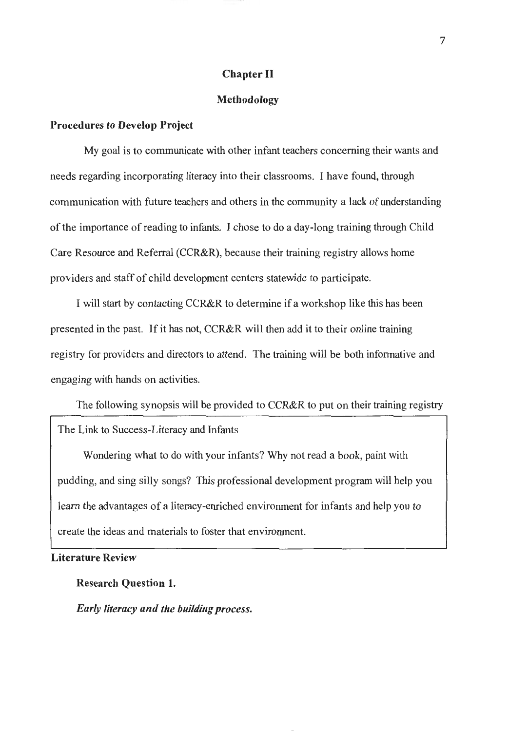#### **Chapter** II

#### **Methodology**

#### **Procedures to Develop Project**

My goal is to communicate with other infant teachers concerning their wants and needs regarding incorporating literacy into their classrooms. I have found, through communication with future teachers and others in the community a lack of understanding of the importance of reading to infants. I chose to do a day-long training through Child Care Resource and Referral (CCR&R), because their training registry allows home providers and staff of child development centers statewide to participate.

I will start by contacting CCR&R to determine if a workshop like this has been presented in the past. If it has not, CCR&R will then add it to their online training registry for providers and directors to attend. The training will be both informative and engaging with hands on activities.

The following synopsis will be provided to CCR&R to put on their training registry

The Link to Success-Literacy and Infants

Wondering what to do with your infants? Why not read a book, paint with pudding, and sing silly songs? This professional development program will help you learn the advantages of a literacy-enriched environment for infants and help you to create the ideas and materials to foster that environment.

**Literature Review** 

**Research Question 1.** 

*Early literacy and the building process.*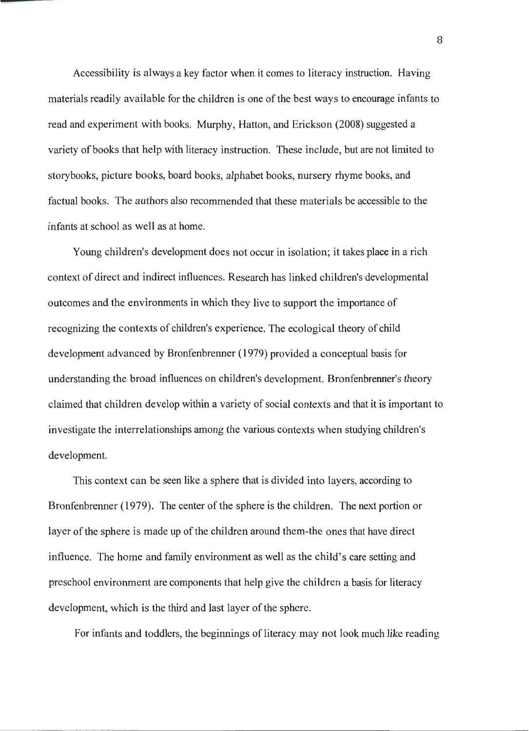Accessibility is always a key factor when it comes to literacy instruction. Having materials readily available for the children is one of the best ways to encourage infants to read and experiment with books. Murphy, Hatton, and Erickson (2008) suggested a variety of books that help with literacy instruction. These include, but are not limited to storybooks, picture books, board books, alphabet books, nursery rhyme books, and factual books. The authors also recommended that these materials be accessible to the infants at school as well as at home.

Young children's development does not occur in isolation; it takes place in a rich context of direct and indirect influences. Research has linked children's developmental outcomes and the environments in which they live to support the importance of recognizing the contexts of children's experience. The ecological theory of child development advanced by Bronfenbrenner ( 1979) provided a conceptual basis for understanding the broad influences on children's development. Bronfenbrenner's theory claimed that children develop within a variety of social contexts and that it is important to investigate the interrelationships among the various contexts when studying children's development.

This context can be seen like a sphere that is divided into layers, according to Bronfenbrenner ( 1979). The center of the sphere is the children. The next portion or layer of the sphere is made up of the children around them-the ones that have direct influence. The home and family environment as well as the child's care setting and preschool environment are components that help give the children a basis for literacy development, which is the third and last layer of the sphere.

For infants and toddlers, the beginnings of literacy may not look much like reading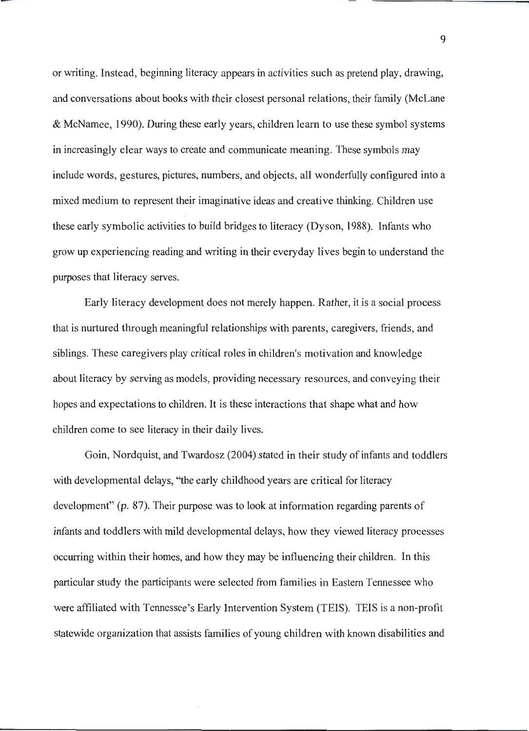or writing. Instead, beginning literacy appears in activities such as pretend play, drawing, and conversations about books with their closest personal relations, their family (Mclane & McNamee, 1990). During these early years, children learn to use these symbol systems in increasingly clear ways to create and communicate meaning. These symbols may include words, gestures, pictures, numbers, and objects, all wonderfully configured into a mixed medium to represent their imaginative ideas and creative thinking. Children use these early symbolic activities to build bridges to literacy (Dyson, 1988). Infants who grow up experiencing reading and writing in their everyday lives begin to understand the purposes that literacy serves.

Early literacy development does not merely happen. Rather, it is a social process that is nurtured through meaningful relationships with parents, caregivers, friends, and siblings. These caregivers play critical roles in children's motivation and knowledge about literacy by serving as models, providing necessary resources, and conveying their hopes and expectations to children. It is these interactions that shape what and how children come to see literacy in their daily lives.

Goin, Nordquist, and Twardosz (2004) stated in their study of infants and toddlers with developmental delays, "the early childhood years are critical for literacy development" (p. 87). Their purpose was to look at information regarding parents of infants and toddlers with mild developmental delays, how they viewed literacy processes occurring within their homes, and how they may be influencing their children. In this particular study the participants were selected from families in Eastern Tennessee who were affiliated with Tennessee's Early Intervention System (TEIS). TEIS is a non-profit statewide organization that assists families of young children with known disabilities and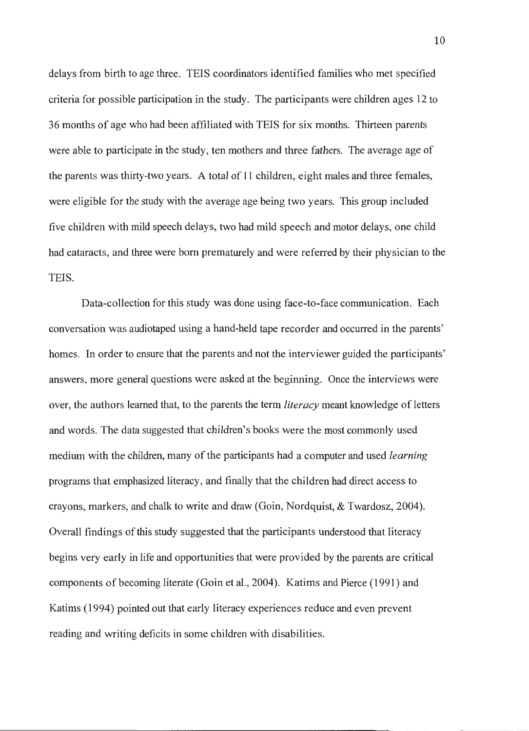delays from birth to age three. TEIS coordinators identified families who met specified criteria for possible participation in the study. The participants were children ages 12 to 36 months of age who had been affiliated with TEIS for six months. Thirteen parents were able to participate in the study, ten mothers and three fathers. The average age of the parents was thirty-two years. A total of 11 children, eight males and three females, were eligible for the study with the average age being two years. This group included five children with mild speech delays, two had mild speech and motor delays, one child had cataracts, and three were born prematurely and were referred by their physician to the TEIS.

Data-collection for this study was done using face-to-face communication. Each conversation was audiotaped using a hand-held tape recorder and occurred in the parents' homes. In order to ensure that the parents and not the interviewer guided the participants' answers, more general questions were asked at the beginning. Once the interviews were over, the authors learned that, to the parents the term *literacy* meant knowledge of letters and words. The data suggested that children's books were the most commonly used medium with the children, many of the participants had a computer and used *learning*  programs that emphasized literacy, and finally that the children had direct access to crayons, markers, and chalk to write and draw (Goin, Nordquist, & Twardosz, 2004). Overall findings of this study suggested that the participants understood that literacy begins very early in life and opportunities that were provided by the parents are critical components of becoming literate (Goin et al., 2004). Katims and Pierce (1991) and Katims (1994) pointed out that early literacy experiences reduce and even prevent reading and writing deficits in some children with disabilities.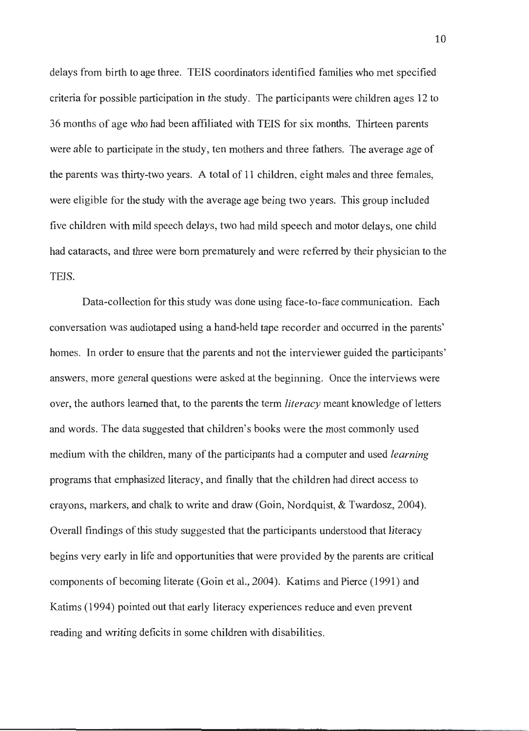delays from birth to age three. TEIS coordinators identified families who met specified criteria for possible participation in the study. The participants were children ages 12 to 36 months of age who had been affiliated with TEIS for six months. Thirteen parents were able to participate in the study, ten mothers and three fathers. The average age of the parents was thirty-two years. A total of 11 children, eight males and three females, were eligible for the study with the average age being two years. This group included five children with mild speech delays, two had mild speech and motor delays, one child had cataracts, and three were born prematurely and were referred by their physician to the TEIS.

Data-collection for this study was done using face-to-face communication. Each conversation was audiotaped using a hand-held tape recorder and occurred in the parents' homes. In order to ensure that the parents and not the interviewer guided the participants' answers, more general questions were asked at the beginning. Once the interviews were over, the authors learned that, to the parents the term *literacy* meant knowledge of letters and words. The data suggested that children's books were the most commonly used medium with the children, many of the participants had a computer and used *learning*  programs that emphasized literacy, and finally that the children had direct access to crayons, markers, and chalk to write and draw (Goin, Nordquist, & Twardosz, 2004). Overall findings of this study suggested that the participants understood that literacy begins very early in life and opportunities that were provided by the parents are critical components of becoming literate (Goin et al., 2004). Katims and Pierce (1991) and Katims ( 1994) pointed out that early literacy experiences reduce and even prevent reading and writing deficits in some children with disabilities.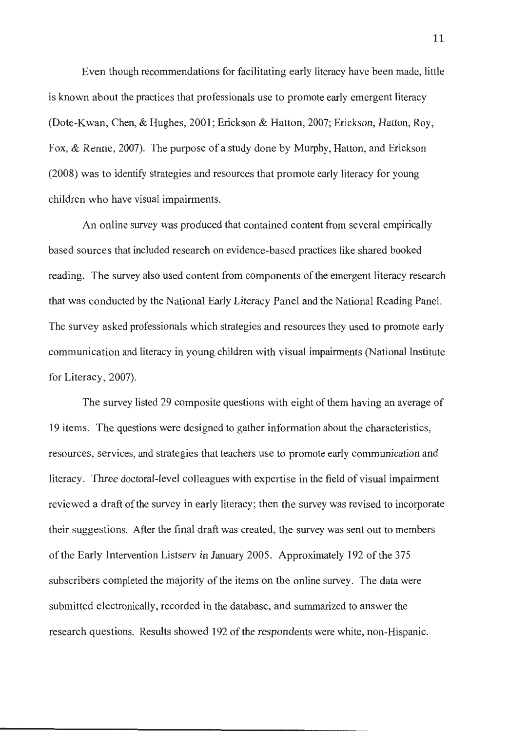Even though recommendations for facilitating early literacy have been made, little is known about the practices that professionals use to promote early emergent literacy (Dote-Kwan, Chen, & Hughes, 2001; Erickson & Hatton, 2007; Erickson, Hatton, Roy, Fox, & Renne, 2007). The purpose of a study done by Murphy, Hatton, and Erickson (2008) was to identify strategies and resources that promote early literacy for young children who have visual impairments.

An online survey was produced that contained content from several empirically based sources that included research on evidence-based practices like shared booked reading. The survey also used content from components of the emergent literacy research that was conducted by the National Early Literacy Panel and the National Reading Panel. The survey asked professionals which strategies and resources they used to promote early communication and literacy in young children with visual impairments (National Institute for Literacy, 2007).

The survey listed 29 composite questions with eight of them having an average of 19 items. The questions were designed to gather information about the characteristics, resources, services, and strategies that teachers use to promote early communication and literacy. Three doctoral-level colleagues with expertise in the field of visual impairment reviewed a draft of the survey in early literacy; then the survey was revised to incorporate their suggestions. After the final draft was created, the survey was sent out to members of the Early Intervention Listserv in January 2005. Approximately 192 of the 375 subscribers completed the majority of the items on the online survey. The data were submitted electronically, recorded in the database, and summarized to answer the research questions. Results showed 192 of the respondents were white, non-Hispanic.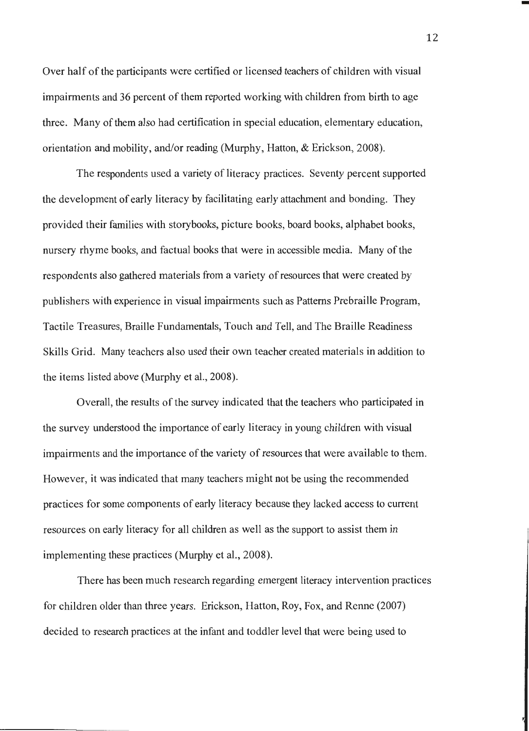Over half of the participants were certified or licensed teachers of children with visual impairments and 36 percent of them reported working with children from birth to age three. Many of them also had certification in special education, elementary education, orientation and mobility, and/or reading (Murphy, Hatton, & Erickson, 2008).

The respondents used a variety of literacy practices. Seventy percent supported the development of early literacy by facilitating early attachment and bonding. They provided their families with storybooks, picture books, board books, alphabet books, nursery rhyme books, and factual books that were in accessible media. Many of the respondents also gathered materials from a variety of resources that were created by publishers with experience in visual impairments such as Patterns Prebraille Program, Tactile Treasures, Braille Fundamentals, Touch and Tell, and The Braille Readiness Skills Grid. Many teachers also used their own teacher created materials in addition to the items listed above (Murphy et al., 2008).

Overall, the results of the survey indicated that the teachers who participated in the survey understood the importance of early literacy in young children with visual impairments and the importance of the variety of resources that were available to them. However, it was indicated that many teachers might not be using the recommended practices for some components of early literacy because they lacked access to current resources on early literacy for all children as well as the support to assist them in implementing these practices (Murphy et al., 2008).

There has been much research regarding emergent literacy intervention practices for children older than three years. Erickson, Hatton, Roy, Fox, and Renne (2007) decided to research practices at the infant and toddler level that were being used to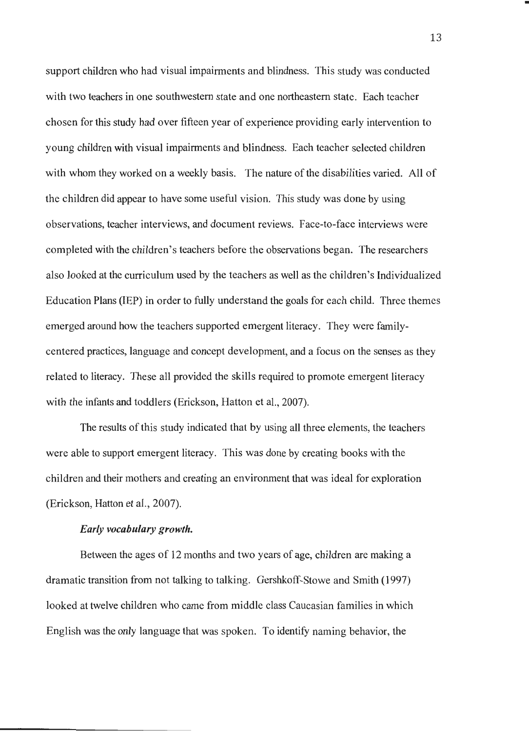support children who had visual impairments and blindness. This study was conducted with two teachers in one southwestern state and one northeastern state. Each teacher chosen for this study had over fifteen year of experience providing early intervention to young children with visual impairments and blindness. Each teacher selected children with whom they worked on a weekly basis. The nature of the disabilities varied. All of the children did appear to have some useful vision. This study was done by using observations, teacher interviews, and document reviews. Face-to-face interviews were completed with the children's teachers before the observations began. The researchers also looked at the curriculum used by the teachers as well as the children's Individualized Education Plans (IEP) in order to fully understand the goals for each child. Three themes emerged around how the teachers supported emergent literacy. They were familycentered practices, language and concept development, and a focus on the senses as they related to literacy. These all provided the skills required to promote emergent literacy with the infants and toddlers (Erickson, Hatton et al., 2007).

The results of this study indicated that by using all three elements, the teachers were able to support emergent literacy. This was done by creating books with the children and their mothers and creating an environment that was ideal for exploration (Erickson, Hatton et al., 2007).

#### *Early vocabulary growth.*

Between the ages of 12 months and two years of age, children are making a dramatic transition from not talking to talking. Gershkoff-Stowe and Smith ( 1997) looked at twelve children who came from middle class Caucasian families in which English was the only language that was spoken. To identify naming behavior, the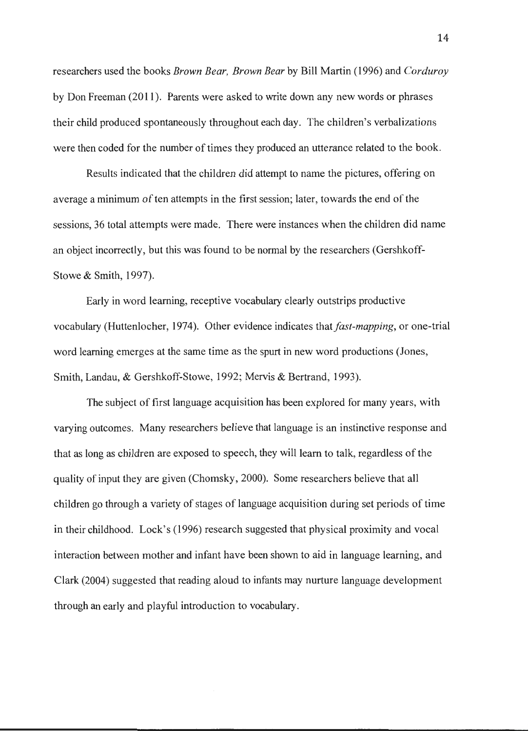researchers used the books *Brown Bear, Brown Bear* by Bill Martin (1996) and *Corduroy*  by Don Freeman (2011 ). Parents were asked to write down any new words or phrases their child produced spontaneously throughout each day. The children's verbalizations were then coded for the number of times they produced an utterance related to the book.

Results indicated that the children did attempt to name the pictures, offering on average a minimum of ten attempts in the first session; later, towards the end of the sessions, 36 total attempts were made. There were instances when the children did name an object incorrectly, but this was found to be normal by the researchers (Gershkoff-Stowe & Smith, 1997).

Early in word learning, receptive vocabulary clearly outstrips productive vocabulary (Huttenlocher, 1974). Other evidence indicates that *fast-mapping*, or one-trial word learning emerges at the same time as the spurt in new word productions (Jones, Smith, Landau, & Gershkoff-Stowe, 1992; Mervis & Bertrand, 1993).

The subject of first language acquisition has been explored for many years, with varying outcomes. Many researchers believe that language is an instinctive response and that as long as children are exposed to speech, they will learn to talk, regardless of the quality of input they are given (Chomsky, 2000). Some researchers believe that all children go through a variety of stages of language acquisition during set periods of time in their childhood. Lock's (1996) research suggested that physical proximity and vocal interaction between mother and infant have been shown to aid in language learning, and Clark (2004) suggested that reading aloud to infants may nurture language development through an early and playful introduction to vocabulary.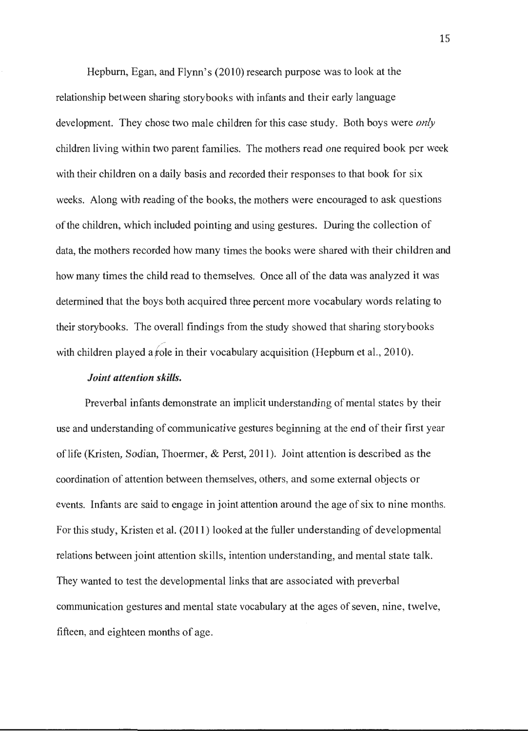Hepburn, Egan, and Flynn's (2010) research purpose was to look at the relationship between sharing storybooks with infants and their early language development. They chose two male children for this case study. Both boys were *only*  children living within two parent families. The mothers read one required book per week with their children on a daily basis and recorded their responses to that book for six weeks. Along with reading of the books, the mothers were encouraged to ask questions of the children, which included pointing and using gestures. During the collection of data, the mothers recorded how many times the books were shared with their children and how many times the child read to themselves. Once all of the data was analyzed it was determined that the boys both acquired three percent more vocabulary words relating to their storybooks. The overall findings from the study showed that sharing storybooks with children played a role in their vocabulary acquisition (Hepburn et al.,  $2010$ ).

#### *Joint attention skills.*

Preverbal infants demonstrate an implicit understanding of mental states by their use and understanding of communicative gestures beginning at the end of their first year of life (Kristen, Sodian, Thoermer, & Perst, 2011). Joint attention is described as the coordination of attention between themselves, others, and some external objects or events. Infants are said to engage in joint attention around the age of six to nine months. For this study, Kristen et al. (2011) looked at the fuller understanding of developmental relations between joint attention skills, intention understanding, and mental state talk. They wanted to test the developmental links that are associated with preverbal communication gestures and mental state vocabulary at the ages of seven, nine, twelve, fifteen, and eighteen months of age.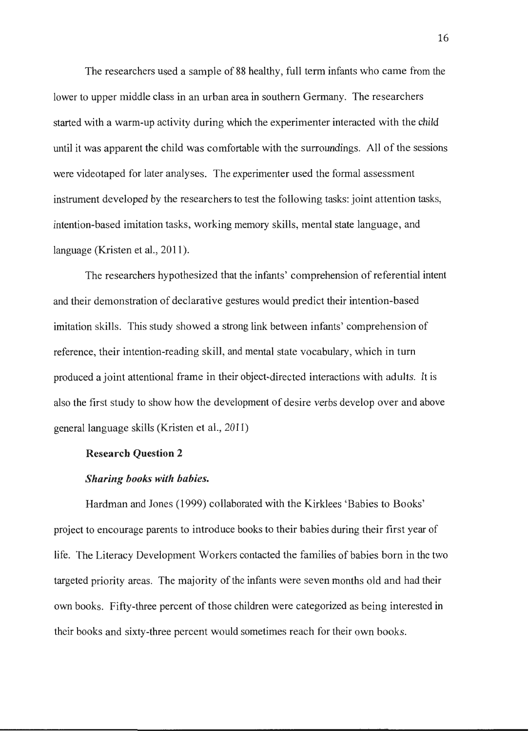The researchers used a sample of 88 healthy, full term infants who came from the lower to upper middle class in an urban area in southern Germany. The researchers started with a warm-up activity during which the experimenter interacted with the child until it was apparent the child was comfortable with the surroundings. All of the sessions were videotaped for later analyses. The experimenter used the formal assessment instrument developed by the researchers to test the following tasks: joint attention tasks, intention-based imitation tasks, working memory skills, mental state language, and language (Kristen et al., 2011).

The researchers hypothesized that the infants' comprehension of referential intent and their demonstration of declarative gestures would predict their intention-based imitation skills. This study showed a strong link between infants' comprehension of reference, their intention-reading skill, and mental state vocabulary, which in tum produced a joint attentional frame in their object-directed interactions with adults. It is also the first study to show how the development of desire verbs develop over and above general language skills (Kristen et al., 2011)

#### **Research Question 2**

#### *Sharing books with babies.*

Hardman and Jones (1999) collaborated with the Kirklees 'Babies to Books' project to encourage parents to introduce books to their babies during their first year of life. The Literacy Development Workers contacted the families of babies born in the two targeted priority areas. The majority of the infants were seven months old and had their own books. Fifty-three percent of those children were categorized as being interested in their books and sixty-three percent would sometimes reach for their own books.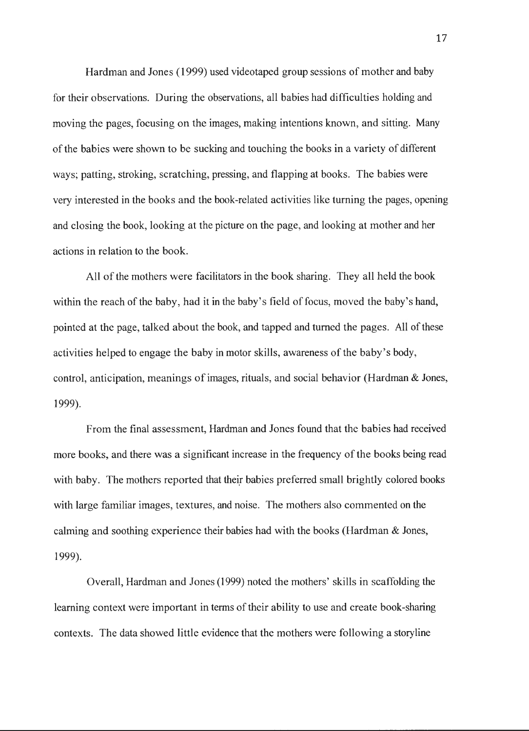Hardman and Jones ( 1999) used videotaped group sessions of mother and baby for their observations. During the observations, all babies had difficulties holding and moving the pages, focusing on the images, making intentions known, and sitting. Many of the babies were shown to be sucking and touching the books in a variety of different ways; patting, stroking, scratching, pressing, and flapping at books. The babies were very interested in the books and the book-related activities like turning the pages, opening and closing the book, looking at the picture on the page, and looking at mother and her actions in relation to the book.

All of the mothers were facilitators in the book sharing. They all held the book within the reach of the baby, had it in the baby's field of focus, moved the baby's hand, pointed at the page, talked about the book, and tapped and turned the pages. All of these activities helped to engage the baby in motor skills, awareness of the baby's body, control, anticipation, meanings of images, rituals, and social behavior (Hardman & Jones, 1999).

From the final assessment, Hardman and Jones found that the babies had received more books, and there was a significant increase in the frequency of the books being read with baby. The mothers reported that their babies preferred small brightly colored books with large familiar images, textures, and noise. The mothers also commented on the calming and soothing experience their babies had with the books (Hardman & Jones, 1999).

Overall, Hardman and Jones (1999) noted the mothers' skills in scaffolding the learning context were important in terms of their ability to use and create book-sharing contexts. The data showed little evidence that the mothers were following a storyline

17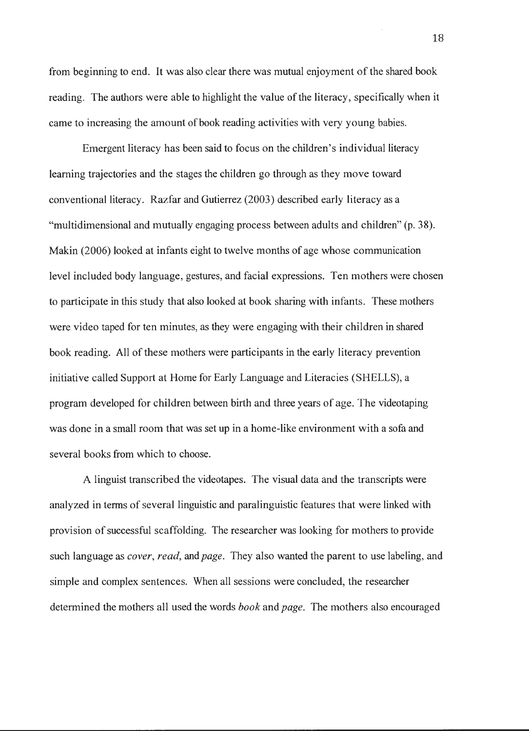from beginning to end. It was also clear there was mutual enjoyment of the shared book reading. The authors were able to highlight the value of the literacy, specifically when it came to increasing the amount of book reading activities with very young babies.

Emergent literacy has been said to focus on the children's individual literacy learning trajectories and the stages the children go through as they move toward conventional literacy. Razfar and Gutierrez (2003) described early literacy as a "multidimensional and mutually engaging process between adults and children" (p. 38). Makin (2006) looked at infants eight to twelve months of age whose communication level included body language, gestures, and facial expressions. Ten mothers were chosen to participate in this study that also looked at book sharing with infants. These mothers were video taped for ten minutes, as they were engaging with their children in shared book reading. All of these mothers were participants in the early literacy prevention initiative called Support at Home for Early Language and Literacies (SHELLS), a program developed for children between birth and three years of age. The videotaping was done in a small room that was set up in a home-like environment with a sofa and several books from which to choose.

A linguist transcribed the videotapes. The visual data and the transcripts were analyzed in terms of several linguistic and paralinguistic features that were linked with provision of successful scaffolding. The researcher was looking for mothers to provide such language as *cover, read,* and *page.* They also wanted the parent to use labeling, and simple and complex sentences. When all sessions were concluded, the researcher determined the mothers all used the words *book* and *page.* The mothers also encouraged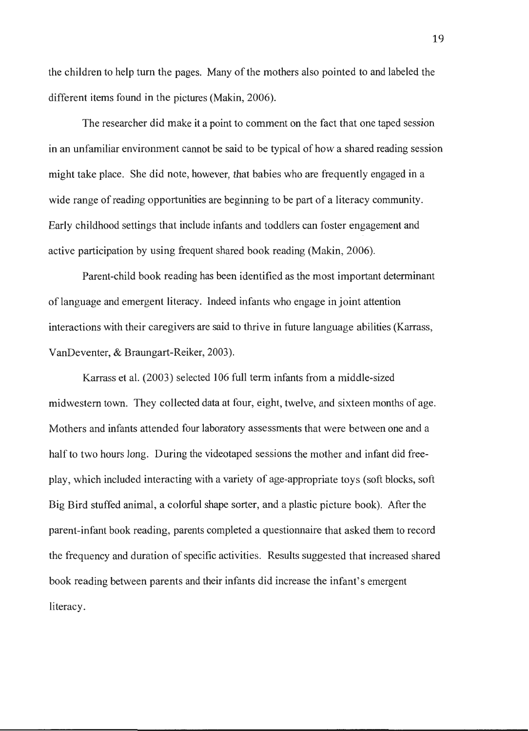the children to help turn the pages. Many of the mothers also pointed to and labeled the different items found in the pictures (Makin, 2006).

The researcher did make it a point to comment on the fact that one taped session in an unfamiliar environment cannot be said to be typical of how a shared reading session might take place. She did note, however, that babies who are frequently engaged in a wide range of reading opportunities are beginning to be part of a literacy community. Early childhood settings that include infants and toddlers can foster engagement and active participation by using frequent shared book reading (Makin, 2006).

Parent-child book reading has been identified as the most important determinant of language and emergent literacy. Indeed infants who engage in joint attention interactions with their caregivers are said to thrive in future language abilities (Karrass, VanDeventer, & Braungart-Reiker, 2003).

Karrass et al. (2003) selected 106 full term infants from a middle-sized mid western town. They collected data at four, eight, twelve, and sixteen months of age. Mothers and infants attended four laboratory assessments that were between one and a half to two hours long. During the videotaped sessions the mother and infant did freeplay, which included interacting with a variety of age-appropriate toys (soft blocks, soft Big Bird stuffed animal, a colorful shape sorter, and a plastic picture book). After the parent-infant book reading, parents completed a questionnaire that asked them to record the frequency and duration of specific activities. Results suggested that increased shared book reading between parents and their infants did increase the infant's emergent literacy.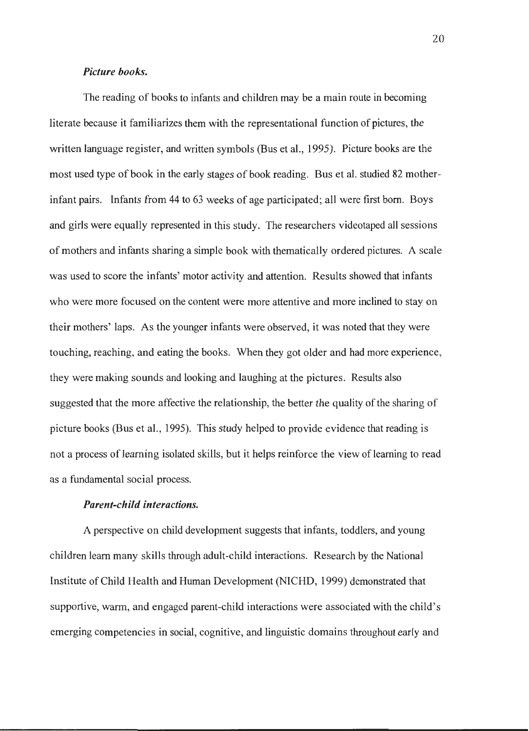#### *Picture books.*

The reading of books to infants and children may be a main route in becoming literate because it familiarizes them with the representational function of pictures, the written language register, and written symbols (Bus et al., 1995). Picture books are the most used type of book in the early stages of book reading. Bus et al. studied 82 motherinfant pairs. Infants from 44 to 63 weeks of age participated; all were first born. Boys and girls were equally represented in this study. The researchers videotaped all sessions of mothers and infants sharing a simple book with thematically ordered pictures. A scale was used to score the infants' motor activity and attention. Results showed that infants who were more focused on the content were more attentive and more inclined to stay on their mothers' laps. As the younger infants were observed, it was noted that they were touching, reaching, and eating the books. When they got older and had more experience, they were making sounds and looking and laughing at the pictures. Results also suggested that the more affective the relationship, the better the quality of the sharing of picture books (Bus et al., 1995). This study helped to provide evidence that reading is not a process of learning isolated skills, but it helps reinforce the view of learning to read as a fundamental social process.

#### *Parent-child interactions.*

A perspective on child development suggests that infants, toddlers, and young children learn many skills through adult-child interactions. Research by the National Institute of Child Health and Human Development (NICHD, 1999) demonstrated that supportive, warm, and engaged parent-child interactions were associated with the child's emerging competencies in social, cognitive, and linguistic domains throughout early and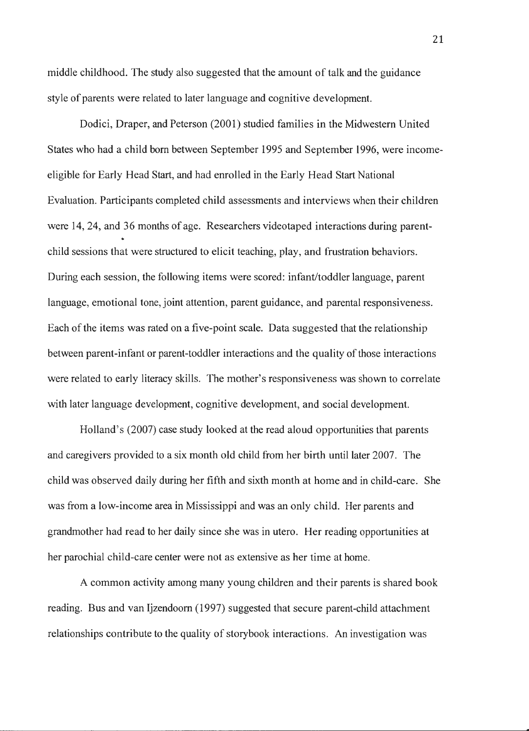middle childhood. The study also suggested that the amount of talk and the guidance style of parents were related to later language and cognitive development.

Dodici, Draper, and Peterson (2001) studied families in the Midwestern United States who had a child born between September 1995 and September 1996, were incomeeligible for Early Head Start, and had enrolled in the Early Head Start National Evaluation. Participants completed child assessments and interviews when their children were 14, 24, and 36 months of age. Researchers videotaped interactions during parentchild sessions that were structured to elicit teaching, play, and frustration behaviors. During each session, the following items were scored: infant/toddler language, parent language, emotional tone, joint attention, parent guidance, and parental responsiveness. Each of the items was rated on a five-point scale. Data suggested that the relationship between parent-infant or parent-toddler interactions and the quality of those interactions were related to early literacy skills. The mother's responsiveness was shown to correlate with later language development, cognitive development, and social development.

Holland's (2007) case study looked at the read aloud opportunities that parents and caregivers provided to a six month old child from her birth until later 2007. The child was observed daily during her fifth and sixth month at home and in child-care. She was from a low-income area in Mississippi and was an only child. Her parents and grandmother had read to her daily since she was in utero. Her reading opportunities at her parochial child-care center were not as extensive as her time at home.

A common activity among many young children and their parents is shared book reading. Bus and van ljzendoorn (1997) suggested that secure parent-child attachment relationships contribute to the quality of storybook interactions. An investigation was

21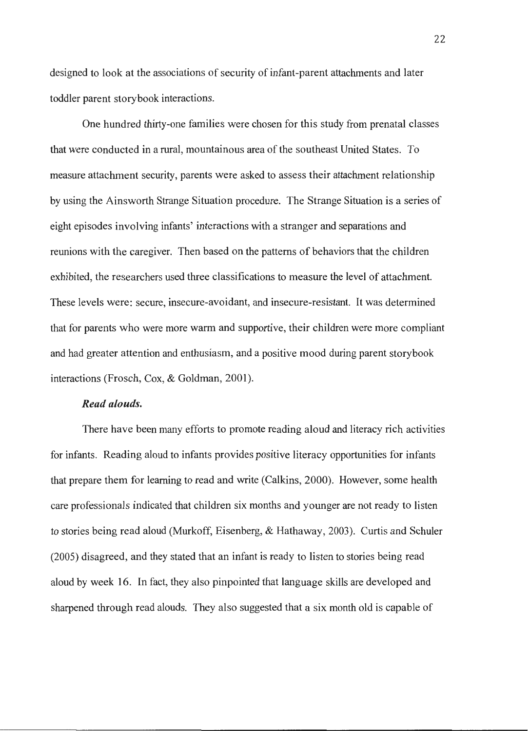designed to look at the associations of security of infant-parent attachments and later toddler parent storybook interactions.

One hundred thirty-one families were chosen for this study from prenatal classes that were conducted in a rural, mountainous area of the southeast United States. To measure attachment security, parents were asked to assess their attachment relationship by using the Ainsworth Strange Situation procedure. The Strange Situation is a series of eight episodes involving infants' interactions with a stranger and separations and reunions with the caregiver. Then based on the patterns of behaviors that the children exhibited, the researchers used three classifications to measure the level of attachment. These levels were: secure, insecure-avoidant, and insecure-resistant. It was determined that for parents who were more warm and supportive, their children were more compliant and had greater attention and enthusiasm, and a positive mood during parent storybook interactions (Frosch, Cox, & Goldman, 2001).

#### *Read alouds.*

There have been many efforts to promote reading aloud and literacy rich activities for infants. Reading aloud to infants provides positive literacy opportunities for infants that prepare them for learning to read and write (Calkins, 2000). However, some health care professionals indicated that children six months and younger are not ready to listen to stories being read aloud (Murkoff, Eisenberg, & Hathaway, 2003). Curtis and Schuler (2005) disagreed, and they stated that an infant is ready to listen to stories being read aloud by week 16. In fact, they also pinpointed that language skills are developed and sharpened through read alouds. They also suggested that a six month old is capable of

22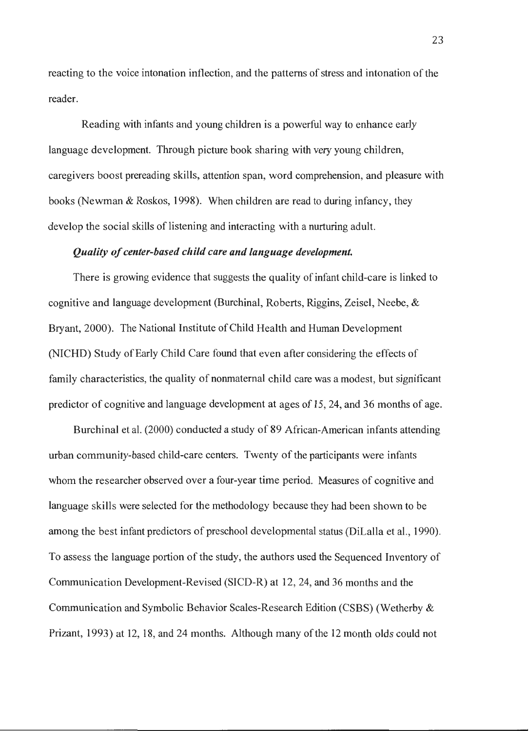reacting to the voice intonation inflection, and the patterns of stress and intonation of the reader.

Reading with infants and young children is a powerful way to enhance early language development. Through picture book sharing with very young children, caregivers boost prereading skills, attention span, word comprehension, and pleasure with books (Newman & Roskos, 1998). When children are read to during infancy, they develop the social skills of listening and interacting with a nurturing adult.

#### *Quality of center-based child care and language development*

There is growing evidence that suggests the quality of infant child-care is linked to cognitive and language development (Burchinal, Roberts, Riggins, Zeisel, Neebe,  $\&$ Bryant, 2000). The National Institute of Child Health and Human Development (NICHD) Study of Early Child Care found that even after considering the effects of family characteristics, the quality of nonmaternal child care was a modest, but significant predictor of cognitive and language development at ages of 15, 24, and 36 months of age.

Burchinal et al. (2000) conducted a study of 89 African-American infants attending urban community-based child-care centers. Twenty of the participants were infants whom the researcher observed over a four-year time period. Measures of cognitive and language skills were selected for the methodology because they had been shown to be among the best infant predictors of preschool developmental status (DiLalla et al., 1990). To assess the language portion of the study, the authors used the Sequenced Inventory of Communication Development-Revised (SICD-R) at 12, 24, and 36 months and the Communication and Symbolic Behavior Scales-Research Edition (CSBS) (Wetherby & Prizant, 1993) at 12, 18, and 24 months. Although many of the 12 month olds could not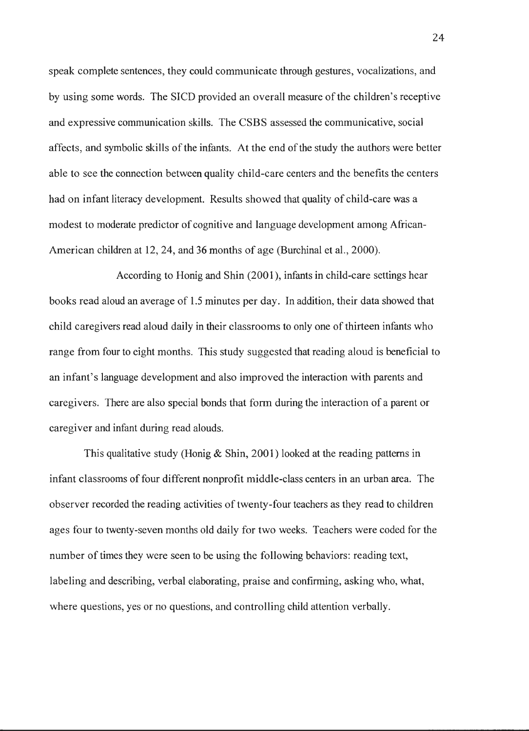speak complete sentences, they could communicate through gestures, vocalizations, and by using some words. The SICD provided an overall measure of the children's receptive and expressive communication skills. The CSBS assessed the communicative, social affects, and symbolic skills of the infants. At the end of the study the authors were better able to see the connection between quality child-care centers and the benefits the centers had on infant literacy development. Results showed that quality of child-care was a modest to moderate predictor of cognitive and language development among African-American children at 12, 24, and 36 months of age (Burchinal et al., 2000).

According to Honig and Shin (2001 ), infants in child-care settings hear books read aloud an average of 1.5 minutes per day. In addition, their data showed that child caregivers read aloud daily in their classrooms to only one of thirteen infants who range from four to eight months. This study suggested that reading aloud is beneficial to an infant's language development and also improved the interaction with parents and caregivers. There are also special bonds that form during the interaction of a parent or caregiver and infant during read alouds.

This qualitative study (Honig  $\&$  Shin, 2001) looked at the reading patterns in infant classrooms of four different nonprofit middle-class centers in an urban area. The observer recorded the reading activities of twenty-four teachers as they read to children ages four to twenty-seven months old daily for two weeks. Teachers were coded for the number of times they were seen to be using the following behaviors: reading text, labeling and describing, verbal elaborating, praise and confirming, asking who, what, where questions, yes or no questions, and controlling child attention verbally.

24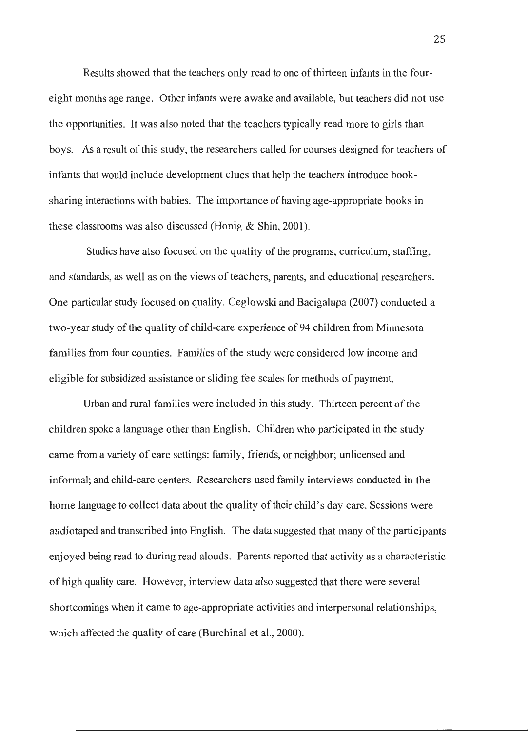Results showed that the teachers only read to one of thirteen infants in the foureight months age range. Other infants were awake and available, but teachers did not use the opportunities. It was also noted that the teachers typically read more to girls than boys. As a result of this study, the researchers called for courses designed for teachers of infants that would include development clues that help the teachers introduce booksharing interactions with babies. The importance of having age-appropriate books in these classrooms was also discussed (Honig & Shin, 2001).

Studies have also focused on the quality of the programs, curriculum, staffing, and standards, as well as on the views of teachers, parents, and educational researchers. One particular study focused on quality. Ceglowski and Bacigalupa (2007) conducted a two-year study of the quality of child-care experience of 94 children from Minnesota families from four counties. Families of the study were considered low income and eligible for subsidized assistance or sliding fee scales for methods of payment.

Urban and rural families were included in this study. Thirteen percent of the children spoke a language other than English. Children who participated in the study came from a variety of care settings: family, friends, or neighbor; unlicensed and informal; and child-care centers. Researchers used family interviews conducted in the home language to collect data about the quality of their child's day care. Sessions were audiotaped and transcribed into English. The data suggested that many of the participants enjoyed being read to during read alouds. Parents reported that activity as a characteristic of high quality care. However, interview data also suggested that there were several shortcomings when it came to age-appropriate activities and interpersonal relationships, which affected the quality of care (Burchinal et al., 2000).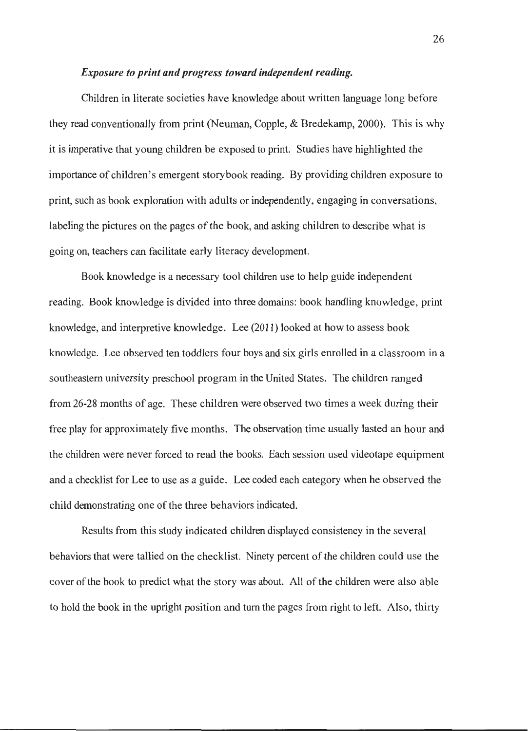#### *Exposure to print and progress toward independent reading.*

Children in literate societies have knowledge about written language long before they read conventionally from print (Neuman, Copple, & Bredekamp, 2000). This is why it is imperative that young children be exposed to print. Studies have highlighted the importance of children's emergent storybook reading. By providing children exposure to print, such as book exploration with adults or independently, engaging in conversations, labeling the pictures on the pages of the book, and asking children to describe what is going on, teachers can facilitate early literacy development.

Book knowledge is a necessary tool children use to help guide independent reading. Book knowledge is divided into three domains: book handling knowledge, print knowledge, and interpretive knowledge. Lee (2011) looked at how to assess book knowledge. Lee observed ten toddlers four boys and six girls enrolled in a classroom in a southeastern university preschool program in the United States. The children ranged from 26-28 months of age. These children were observed two times a week during their free play for approximately five months. The observation time usually lasted an hour and the children were never forced to read the books. Each session used videotape equipment and a checklist for Lee to use as a guide. Lee coded each category when he observed the child demonstrating one of the three behaviors indicated.

Results from this study indicated children displayed consistency in the several behaviors that were tallied on the checklist. Ninety percent of the children could use the cover of the book to predict what the story was about. All of the children were also able to hold the book in the upright position and turn the pages from right to left. Also, thirty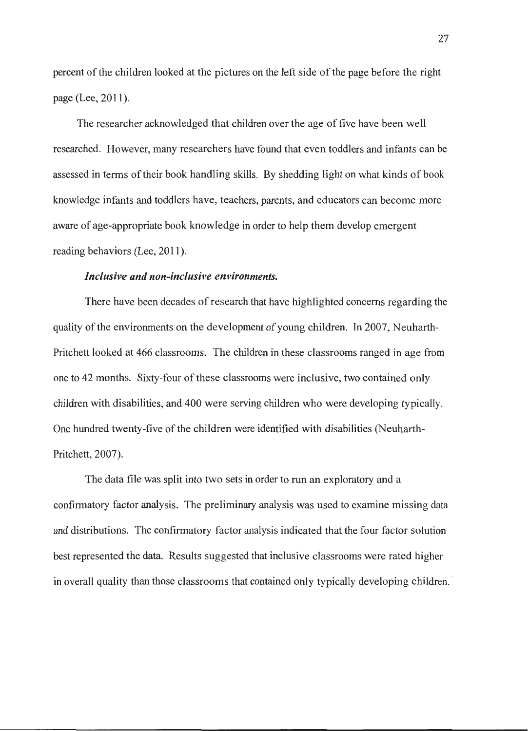percent of the children looked at the pictures on the left side of the page before the right page (Lee, 2011).

The researcher acknowledged that children over the age of five have been well researched. However, many researchers have found that even toddlers and infants can be assessed in terms of their book handling skills. By shedding light on what kinds of book knowledge infants and toddlers have, teachers, parents, and educators can become more aware of age-appropriate book knowledge in order to help them develop emergent reading behaviors (Lee, 2011).

#### *Inclusive and non-inclusive environments.*

There have been decades of research that have highlighted concerns regarding the quality of the environments on the development of young children. In 2007, Neuharth-Pritchett looked at 466 classrooms. The children in these classrooms ranged in age from one to 42 months. Sixty-four of these classrooms were inclusive, two contained only children with disabilities, and 400 were serving children who were developing typically. One hundred twenty-five of the children were identified with disabilities (Neuharth-Pritchett, 2007).

The data file was split into two sets in order to run an exploratory and a confirmatory factor analysis. The preliminary analysis was used to examine missing data and distributions. The confirmatory factor analysis indicated that the four factor solution best represented the data. Results suggested that inclusive classrooms were rated higher in overall quality than those classrooms that contained only typically developing children.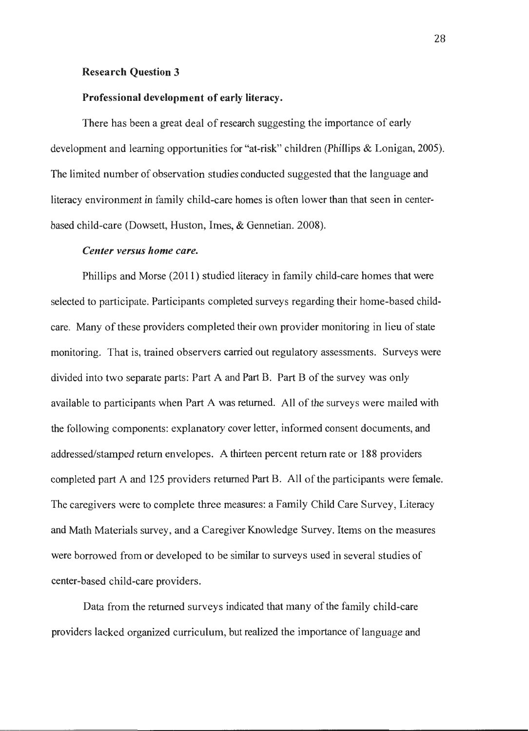#### **Research Question 3**

#### **Professional development of early literacy.**

There has been a great deal of research suggesting the importance of early development and learning opportunities for "at-risk" children (Phillips & Lonigan, 2005). The limited number of observation studies conducted suggested that the language and literacy environment in family child-care homes is often lower than that seen in centerbased child-care (Dowsett, Huston, Imes, & Gennetian. 2008).

#### *Center versus home care.*

Phillips and Morse (2011) studied literacy in family child-care homes that were selected to participate. Participants completed surveys regarding their home-based childcare. Many of these providers completed their own provider monitoring in lieu of state monitoring. That is, trained observers carried out regulatory assessments. Surveys were divided into two separate parts: Part A and Part B. Part B of the survey was only available to participants when Part A was returned. All of the surveys were mailed with the following components: explanatory cover letter, informed consent documents, and addressed/stamped return envelopes. A thirteen percent return rate or 188 providers completed part A and 125 providers returned Part B. All of the participants were female. The caregivers were to complete three measures: a Family Child Care Survey, Literacy and Math Materials survey, and a Caregiver Knowledge Survey. Items on the measures were borrowed from or developed to be similar to surveys used in several studies of center-based child-care providers.

Data from the returned surveys indicated that many of the family child-care providers lacked organized curriculum, but realized the importance of language and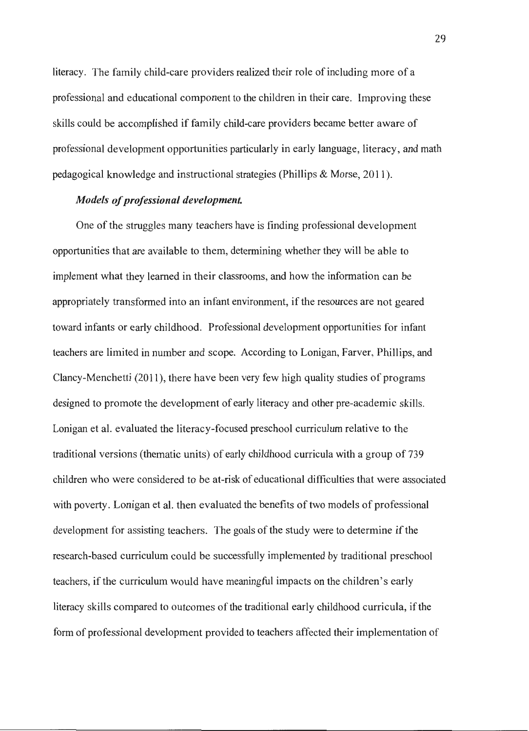literacy. The family child-care providers realized their role of including more of a professional and educational component to the children in their care. Improving these skills could be accomplished if family child-care providers became better aware of professional development opportunities particularly in early language, literacy, and math pedagogical knowledge and instructional strategies (Phillips & Morse, 2011 ).

#### *Models of professional development*

One of the struggles many teachers have is finding professional development opportunities that are available to them, determining whether they will be able to implement what they learned in their classrooms, and how the information can be appropriately transformed into an infant environment, if the resources are not geared toward infants or early childhood. Professional development opportunities for infant teachers are limited in number and scope. According to Lonigan, Farver, Phillips, and Clancy-Menchetti (2011 ), there have been very few high quality studies of programs designed to promote the development of early literacy and other pre-academic skills. Lonigan et al. evaluated the literacy-focused preschool curriculum relative to the traditional versions (thematic units) of early childhood curricula with a group of 739 children who were considered to be at-risk of educational difficulties that were associated with poverty. Lonigan et al. then evaluated the benefits of two models of professional development for assisting teachers. The goals of the study were to determine if the research-based curriculum could be successfully implemented by traditional preschool teachers, if the curriculum would have meaningful impacts on the children's early literacy skills compared to outcomes of the traditional early childhood curricula, if the form of professional development provided to teachers affected their implementation of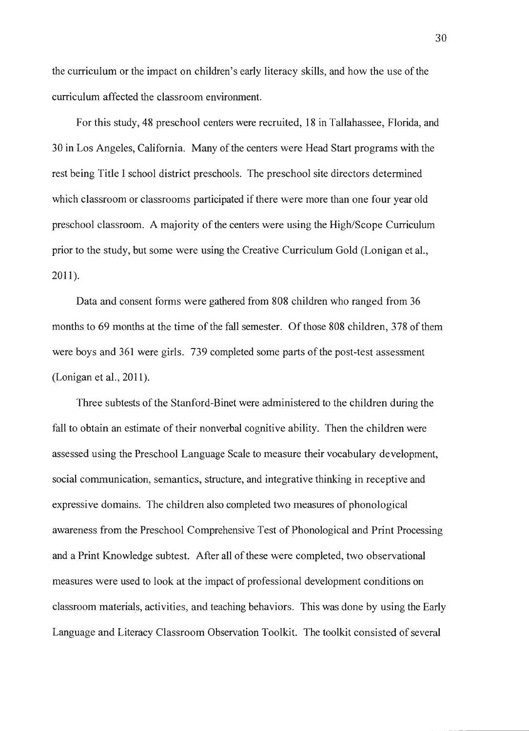the curriculum or the impact on children's early literacy skills, and how the use of the curriculum affected the classroom environment.

For this study, 48 preschool centers were recruited, 18 in Tallahassee, Florida, and 30 in Los Angeles, California. Many of the centers were Head Start programs with the rest being Title I school district preschools. The preschool site directors determined which classroom or classrooms participated if there were more than one four year old preschool classroom. A majority of the centers were using the High/Scope Curriculum prior to the study, but some were using the Creative Curriculum Gold (Lenigan et al., 2011).

Data and consent forms were gathered from 808 children who ranged from 36 months to 69 months at the time of the fall semester. Of those 808 children, 378 of them were boys and 361 were girls. 739 completed some parts of the post-test assessment (Lonigan et al., 2011).

Three subtests of the Stanford-Binet were administered to the children during the fall to obtain an estimate of their nonverbal cognitive ability. Then the children were assessed using the Preschool Language Scale to measure their vocabulary development, social communication, semantics, structure, and integrative thinking in receptive and expressive domains. The children also completed two measures of phonological awareness from the Preschool Comprehensive Test of Phonological and Print Processing and a Print Knowledge subtest. After all of these were completed, two observational measures were used to look at the impact of professional development conditions on classroom material\_s, activities, and teaching behaviors. This was done by using the Early Language and Literacy Classroom Observation Toolkit. The toolkit consisted of several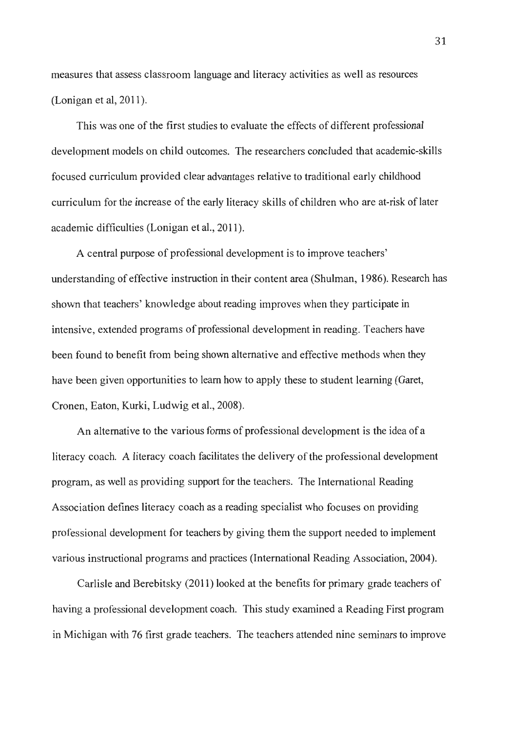measures that assess classroom language and literacy activities as well as resources (Lonigan et al, 2011).

This was one of the first studies to evaluate the effects of different professional development models on child outcomes. The researchers concluded that academic-skills focused curriculum provided clear advantages relative to traditional early childhood curriculum for the increase of the early literacy skills of children who are at-risk of later academic difficulties (Lonigan et al., 2011 ).

A central purpose of professional development is to improve teachers' understanding of effective instruction in their content area (Shulman, 1986). Research has shown that teachers' knowledge about reading improves when they participate in intensive, extended programs of professional development in reading. Teachers have been found to benefit from being shown alternative and effective methods when they have been given opportunities to learn how to apply these to student learning (Garet, Cronen, Eaton, Kurki, Ludwig et al., 2008).

An alternative to the various forms of professional development is the idea of a literacy coach. A literacy coach facilitates the delivery of the professional development program, as well as providing support for the teachers. The International Reading Association defines literacy coach as a reading specialist who focuses on providing professional development for teachers by giving them the support needed to implement various instructional programs and practices (International Reading Association, 2004 ).

Carlisle and Berebitsky (2011) looked at the benefits for primary grade teachers of having a professional development coach. This study examined a Reading First program in Michigan with 76 first grade teachers. The teachers attended nine seminars to improve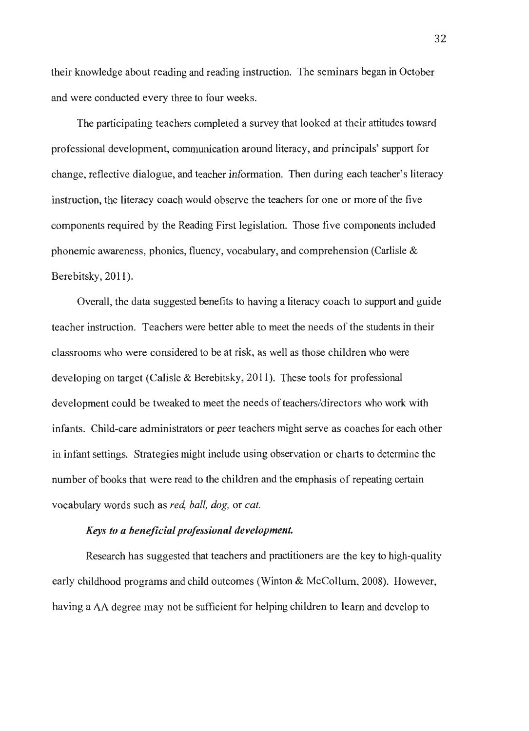their knowledge about reading and reading instruction. The seminars began in October and were conducted every three to four weeks.

The participating teachers completed a survey that looked at their attitudes toward professional development, communication around literacy, and principals' support for change, reflective dialogue, and teacher information. Then during each teacher's literacy instruction, the literacy coach would observe the teachers for one or more of the five components required by the Reading First legislation. Those five components included phonemic awareness, phonics, fluency, vocabulary, and comprehension (Carlisle & Berebitsky, 2011).

Overall, the data suggested benefits to having a literacy coach to support and guide teacher instruction. Teachers were better able to meet the needs of the students in their classrooms who were considered to be at risk, as well as those children who were developing on target (Calisle & Berebitsky, 2011). These tools for professional development could be tweaked to meet the needs of teachers/directors who work with infants. Child-care administrators or peer teachers might serve as coaches for each other in infant settings. Strategies might include using observation or charts to determine the number of books that were read to the children and the emphasis of repeating certain vocabulary words such as *red, ball, dog,* or *cat.* 

#### *Keys to a beneficial professional development.*

Research has suggested that teachers and practitioners are the key to high-quality early childhood programs and child outcomes (Winton & McCollum, 2008). However, having a AA degree may not be sufficient for helping children to learn and develop to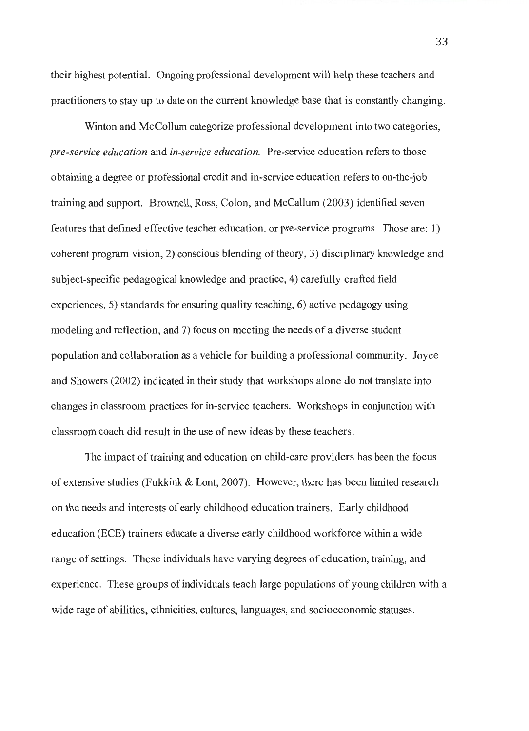their highest potential. Ongoing professional development will help these teachers and practitioners to stay up to date on the current knowledge base that is constantly changing.

Winton and McCollum categorize professional development into two categories, *pre-service education* and *in-service education.* Pre-service education refers to those obtaining a degree or professional credit and in-service education refers to on-the-job training and support. Brownell, Ross, Colon, and McCallum (2003) identified seven features that defined effective teacher education, or pre-service programs. Those are: I) coherent program vision, 2) conscious blending of theory, 3) disciplinary knowledge and subject-specific pedagogical knowledge and practice, 4) carefully crafted field experiences, 5) standards for ensuring quality teaching, 6) active pedagogy using modeling and reflection, and 7) focus on meeting the needs of a diverse student population and collaboration as a vehicle for building a professional community. Joyce and Showers (2002) indicated in their study that workshops alone do not translate into changes in classroom practices for in-service teachers. Workshops in conjunction with classroom coach did result in the use of new ideas by these teachers.

The impact of training and education on child-care providers has been the focus of extensive studies (Fukkink & Lont, 2007). However, there has been limited research on the needs and interests of early childhood education trainers. Early childhood education (ECE) trainers educate a diverse early childhood workforce within a wide range of settings. These individuals have varying degrees of education, training, and experience. These groups of individuals teach large populations of young children with a wide rage of abilities, ethnicities, cultures, languages, and socioeconomic statuses.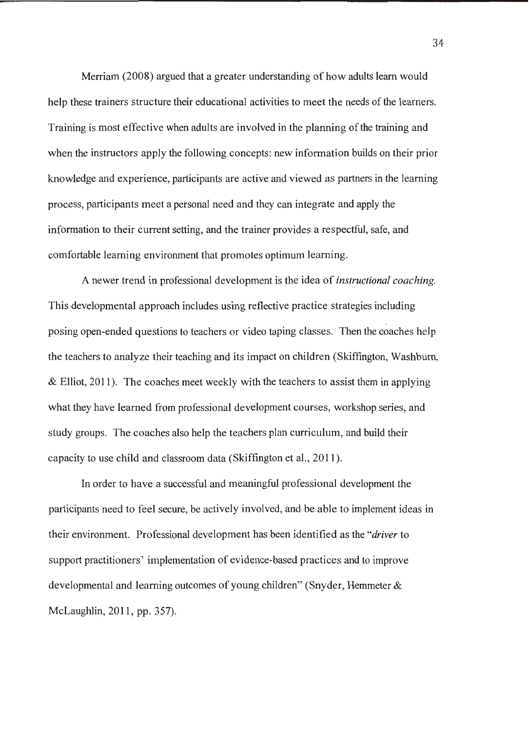Merriam (2008) argued that a greater understanding of how adults learn would help these trainers structure their educational activities to meet the needs of the learners. Training is most effective when adults are involved in the planning of the training and when the instructors apply the following concepts: new information builds on their prior knowledge and experience, participants are active and viewed as partners in the learning process, participants meet a personal need and they can integrate and apply the information to their current setting, and the trainer provides a respectful, safe, and comfortable learning environment that promotes optimum learning.

A newer trend in professional development is the idea of *instructional coaching.*  This developmental approach includes using reflective practice strategies including posing open-ended questions to teachers or video taping classes. Then the coaches help the teachers to analyze their teaching and its impact on children (Skiffington, Washburn,  $&$  Elliot, 2011). The coaches meet weekly with the teachers to assist them in applying what they have learned from professional development courses, workshop series, and study groups. The coaches also help the teachers plan curriculum, and build their capacity to use child and classroom data (Skiffington et al., 2011 ).

In order to have a successful and meaningful professional development the participants need to feel secure, be actively involved, and be able to implement ideas in their environment. Professional development has been identified as the *"driver* to support practitioners' implementation of evidence-based practices and to improve developmental and learning outcomes of young children" (Snyder, Hemmeter & McLaughlin, 2011, pp. 357).

34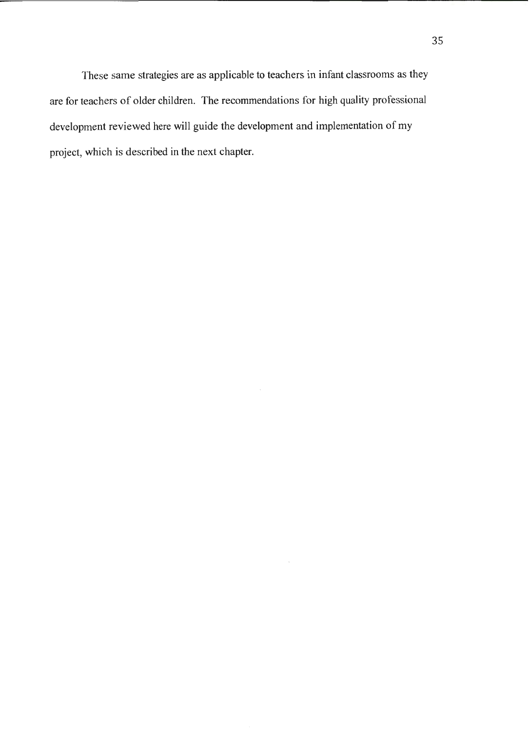These same strategies are as applicable to teachers in infant classrooms as they are for teachers of older children. The recommendations for high quality professional development reviewed here will guide the development and implementation of my project, which is described in the next chapter.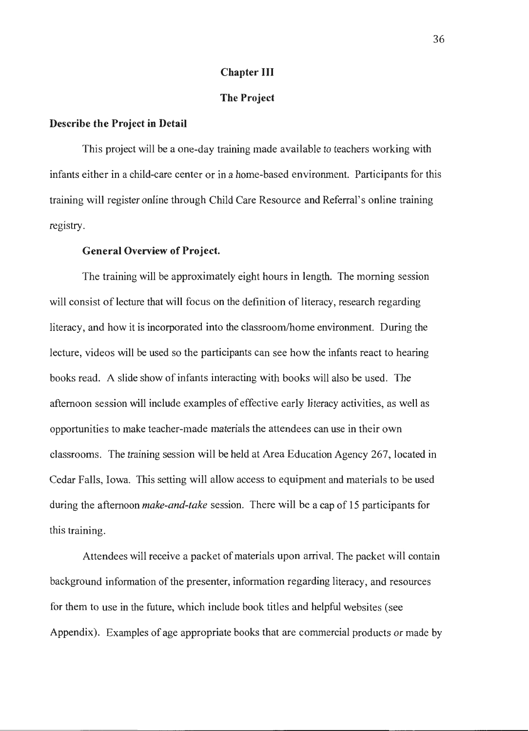#### **Chapter III**

#### **The Project**

#### **Describe the Project in Detail**

This project will be a one-day training made available to teachers working with infants either in a child-care center or in a home-based environment. Participants for this training will register online through Child Care Resource and Referral's online training registry.

#### **General Overview of Project.**

The training will be approximately eight hours in length. The morning session will consist of lecture that will focus on the definition of literacy, research regarding literacy, and how it is incorporated into the classroom/home environment. During the lecture, videos will be used so the participants can see how the infants react to hearing books read. A slide show of infants interacting with books will also be used. The afternoon session will include examples of effective early literacy activities, as well as opportunities to make teacher-made materials the attendees can use in their own classrooms. The training session will be held at Area Education Agency 267, located in Cedar Falls, Iowa. This setting will allow access to equipment and materials to be used during the afternoon *make-and-take* session. There will be a cap of 15 participants for this training.

Attendees will receive a packet of materials upon arrival. The packet will contain background information of the presenter, information regarding literacy, and resources for them to use in the future, which include book titles and helpful websites (see Appendix). Examples of age appropriate books that are commercial products or made by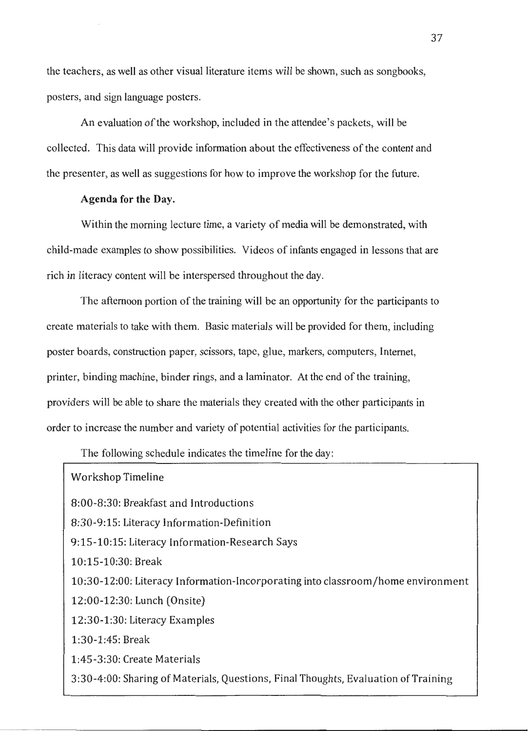the teachers, as well as other visual literature items will be shown, such as songbooks, posters, and sign language posters.

An evaluation of the workshop, included in the attendee's packets, will be collected. This data will provide information about the effectiveness of the content and the presenter, as well as suggestions for how to improve the workshop for the future.

#### **Agenda for the Day.**

Within the morning lecture time, a variety of media will be demonstrated, with child-made examples to show possibilities. Videos of infants engaged in lessons that are rich in literacy content will be interspersed throughout the day.

The afternoon portion of the training will be an opportunity for the participants to create materials to take with them. Basic materials will be provided for them, including poster boards, construction paper, scissors, tape, glue, markers, computers, Internet, printer, binding machine, binder rings, and a laminator. At the end of the training, providers will be able to share the materials they created with the other participants in order to increase the number and variety of potential activities for the participants.

The following schedule indicates the timeline for the day:

| <b>Workshop Timeline</b>                                                           |
|------------------------------------------------------------------------------------|
| 8:00-8:30: Breakfast and Introductions                                             |
| 8:30-9:15: Literacy Information-Definition                                         |
| 9:15-10:15: Literacy Information-Research Says                                     |
| 10:15-10:30: Break                                                                 |
| 10:30-12:00: Literacy Information-Incorporating into classroom/home environment    |
| 12:00-12:30: Lunch (Onsite)                                                        |
| 12:30-1:30: Literacy Examples                                                      |
| $1:30-1:45$ : Break                                                                |
| 1:45-3:30: Create Materials                                                        |
| 3:30-4:00: Sharing of Materials, Questions, Final Thoughts, Evaluation of Training |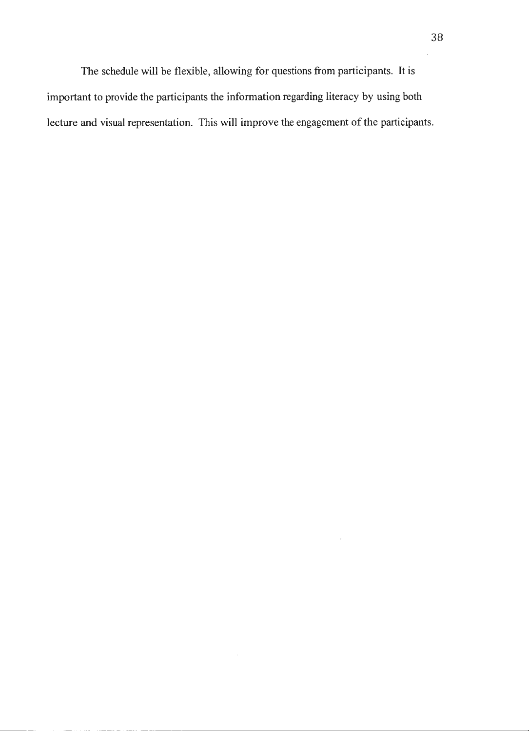The schedule will be flexible, allowing for questions from participants. It is important to provide the participants the information regarding literacy by using both lecture and visual representation. This will improve the engagement of the participants.

 $\ddot{\phantom{a}}$ 

 $\sim$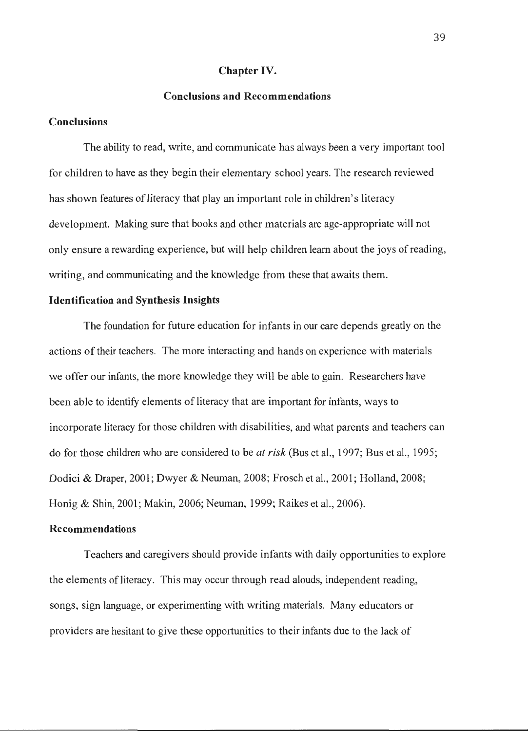#### **Chapter IV.**

#### **Conclusions and Recommendations**

#### **Conclusions**

The ability to read, write, and communicate has always been a very important tool for children to have as they begin their elementary school years. The research reviewed has shown features of literacy that play an important role in children's literacy development. Making sure that books and other materials are age-appropriate will not only ensure a rewarding experience, but will help children learn about the joys of reading, writing, and communicating and the knowledge from these that awaits them.

#### **Identification and Synthesis Insights**

The foundation for future education for infants in our care depends greatly on the actions of their teachers. The more interacting and hands on experience with materials we offer our infants, the more knowledge they will be able to gain. Researchers have been able to identify elements of literacy that are important for infants, ways to incorporate literacy for those children with disabilities, and what parents and teachers can do for those children who are considered to be *at risk* (Bus et al., 1997; Bus et al., 1995; Dodici & Draper, 2001; Dwyer & Neuman, 2008; Frosch et al., 2001; Holland, 2008; Honig & Shin, 2001; Makin, 2006; Neuman, 1999; Raikes et al., 2006).

#### **Recommendations**

Teachers and caregivers should provide infants with daily opportunities to explore the elements of literacy. This may occur through read alouds, independent reading, songs, sign language, or experimenting with writing materials. Many educators or providers are hesitant to give these opportunities to their infants due to the lack of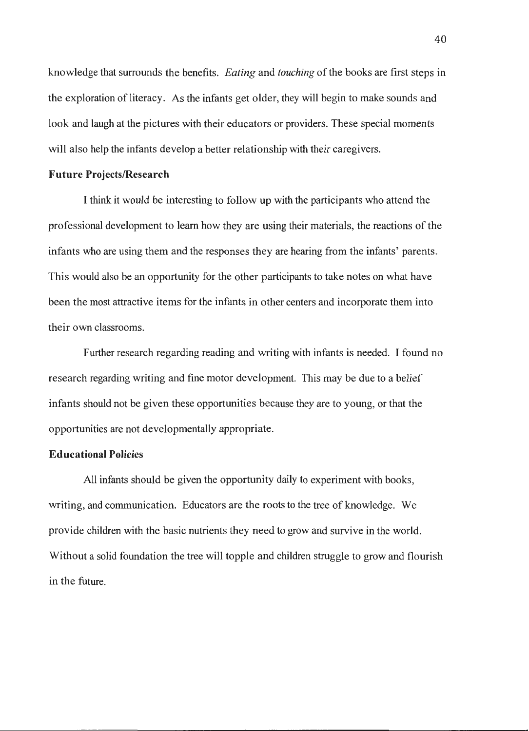knowledge that surrounds the benefits. *Eating* and *touching* of the books are first steps in the exploration of literacy. As the infants get older, they will begin to make sounds and look and laugh at the pictures with their educators or providers. These special moments will also help the infants develop a better relationship with their caregivers.

#### **Future Projects/Research**

I think it would be interesting to follow up with the participants who attend the professional development to learn how they are using their materials, the reactions of the infants who are using them and the responses they are hearing from the infants' parents. This would also be an opportunity for the other participants to take notes on what have been the most attractive items for the infants in other centers and incorporate them into their own classrooms.

Further research regarding reading and writing with infants is needed. I found no research regarding writing and fine motor development. This may be due to a belief infants should not be given these opportunities because they are to young, or that the opportunities are not developmentally appropriate.

#### **Educational Policies**

All infants should be given the opportunity daily to experiment with books, writing, and communication. Educators are the roots to the tree of knowledge. We provide children with the basic nutrients they need to grow and survive in the world. Without a solid foundation the tree will topple and children struggle to grow and flourish in the future.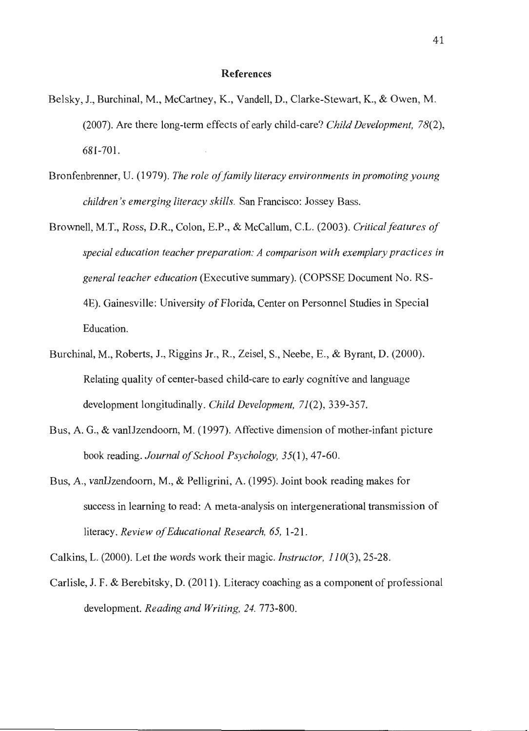#### **References**

- Belsky, J., Burchinal, M., McCartney, K., Vandell, D., Clarke-Stewart, K., & Owen, M. (2007). Are there long-term effects of early child-care? *Child Development, 78(2),*  681-701.
- Bronfenbrenner, U. (1979). *The role of family literacy environments in promoting young children 's emerging literacy skills.* San Francisco: Jossey Bass.
- Brownell, M.T., Ross, D.R., Colon, E.P., & McCallum, C.L. (2003). *Critical features of special education teacher preparation: A comparison with exemplary practices in general teacher education* (Executive summary). (COPSSE Document No. RS-4E). Gainesville: University of Florida, Center on Personnel Studies in Special Education.
- Burchinal, M., Roberts, J., Riggins Jr., R., Zeisel, S., Neebe, E., & Byrant, D. (2000). Relating quality of center-based child-care to early cognitive and language development longitudinally. *Child Development, 71(2),* 339-357.
- Bus, A. G., & vanIJzendoorn, **M .** (1997). Affective dimension of mother-infant picture book reading. *Journal of School Psychology,* 35(1), 47-60.
- Bus, A., vanIJzendoom, M., & Pelligrini, A. (1995). Joint book reading makes for success in learning to read: A meta-analysis on intergenerational transmission of literacy. *Review of Educational Research, 65,* 1-21.

Calkins, L. (2000). Let the words work their magic. *Instructor, 110(3),* 25-28.

Carlisle, J. F. & Berebitsky, D. (2011). Literacy coaching as a component of professional development. *Reading and Writing, 24.* 773-800.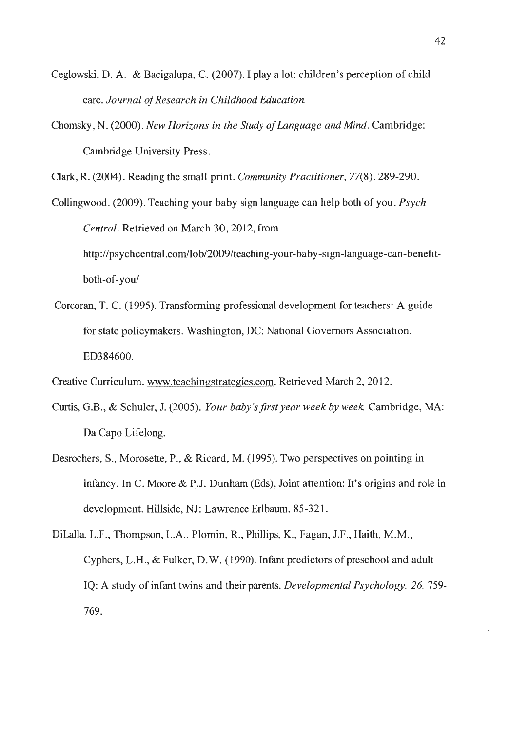- Ceglowski, D. A. & Bacigalupa, C. (2007). I play a lot: children's perception of child care. *Journal of Research in Childhood Education.*
- Chomsky, N. (2000). *New Horizans in the Study of language and Mind.* Cambridge: Cambridge University Press.

Clark, R. (2004). Reading the small print. *Community Practitioner,* 77(8). 289-290.

Collingwood. (2009). Teaching your baby sign language can help both of you. *Psych Central.* Retrieved on March 30, 2012, from http://psychcentral.com/lob/2009/teaching-your-baby-sign-language-can-benefitboth-of-you/

Corcoran, T. C. (1995). Transforming professional development for teachers: A guide for state policymakers. Washington, DC: National Governors Association. ED384600.

Creative Curriculum. www.teachingstrategies.com. Retrieved March 2, 2012.

- Curtis, G.B., & Schuler, J. (2005). *Your baby's first year week by week.* Cambridge, MA: Da Capo Lifelong.
- Desrochers, S., Morosette, P., & Ricard, M. (1995). Two perspectives on pointing in infancy. In C. Moore & P.J. Dunham (Eds), Joint attention: It's origins and role in development. Hillside, NJ: Lawrence Erlbaum. 85-321.

DiLalla, L.F., Thompson, L.A., Plomin, R., Phillips, K., Fagan, J.F., Haith, M.M., Cyphers, L.H., & Fulker, D.W. (1990). Infant predictors of preschool and adult IQ: A study of infant twins and their parents. *Developmental Psychology, 26.* 759- 769.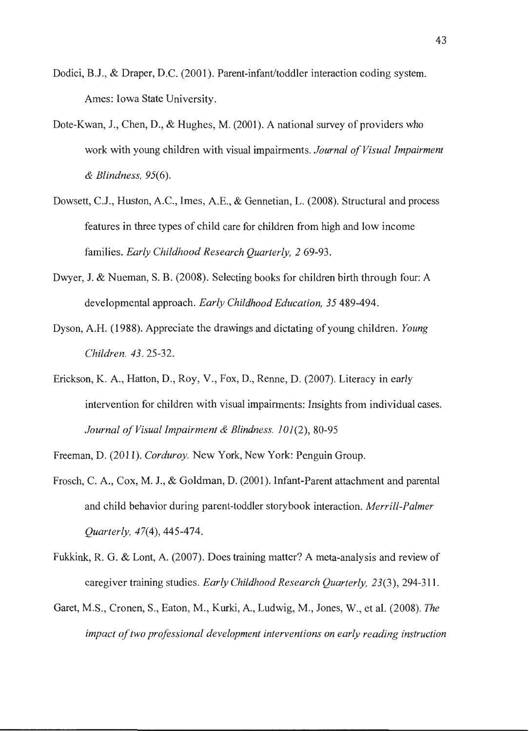- Dodici, B.J., & Draper, D.C. (2001). Parent-infant/toddler interaction coding system. Ames: Iowa State University.
- Dote-Kwan, J., Chen, D., & Hughes, M. (2001). A national survey of providers who work with young children with visual impairments. *Journal of Visual Impairment & Blindness,* 95(6).
- Dowsett, C.J., Huston, A.C., Imes, A.E., & Gennetian, L. (2008). Structural and process features in three types of child care for children from high and low income families. *Early Childhood Research Quarterly, 2* 69-93.
- Dwyer, J. & Nueman, S. B. (2008). Selecting books for children birth through four: A developmental approach. *Early Childhood Education, 35* 489-494.
- Dyson, A.H. (1988). Appreciate the drawings and dictating of young children. *Young Children.* 43. 25-32.
- Erickson, K. A., Hatton, D., Roy, V., Fox, D., Renne, D. (2007). Literacy in early intervention for children with visual impairments: Insights from individual cases. *Journal of Visual Impairment & Blindness.* 101(2), 80-95
- Freeman, D. (2011). *Corduroy.* New York, New York: Penguin Group.
- Frosch, C. A., Cox, M. J., & Goldman, D. (2001). Infant-Parent attachment and parental and child behavior during parent-toddler storybook interaction. *Merrill-Palmer Quarterly,* 47(4), 445-474.
- Fukkink, R. G. & Lont, A. (2007). Does training matter? A meta-analysis and review of caregiver training studies. *Early Childhood Research Quarterly,* 23(3), 294-311 .
- Garet, M.S., Cronen, S., Eaton, M. , Kurki, A., Ludwig, M., Jones, W., et al. (2008). *The impact of two professional development interventions on early reading instruction*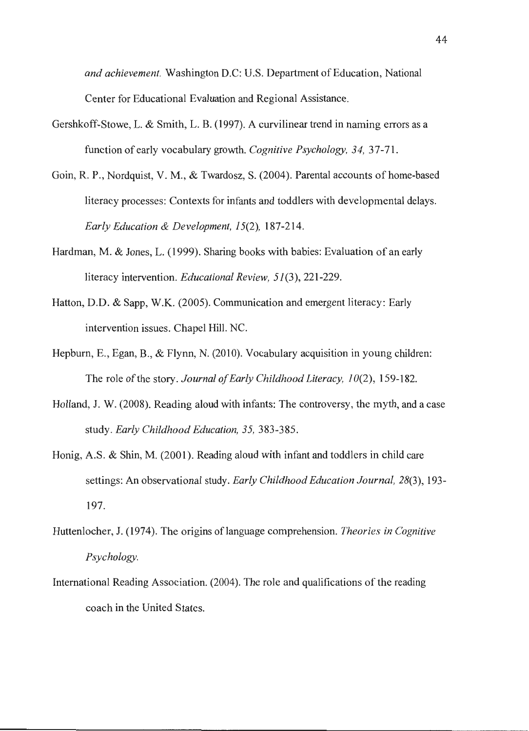*and achievement.* Washington D.C: U.S. Department of Education, National Center for Educational Evaluation and Regional Assistance.

- Gershkoff-Stowe, L. & Smith, L. B. (1997). A curvilinear trend in naming errors as a function of early vocabulary growth. *Cognitive Psychology*, 34, 37-71.
- Goin, R. P., Nordquist, V. M., & Twardosz, S. (2004). Parental accounts of home-based literacy processes: Contexts for infants and toddlers with developmental delays. *Early Education & Development, 15(2),* 187-214.
- Hardman, M. & Jones, L. (1999). Sharing books with babies: Evaluation of an early literacy intervention. *Educational Review, 51(3),* 221-229.
- Hatton, D.D. & Sapp, W.K. (2005). Communication and emergent literacy: Early intervention issues. Chapel Hill. NC.
- Hepburn, E., Egan, B., & Flynn, N. (2010). Vocabulary acquisition in young children: The role of the story. *Journal of Early Childhood Literacy, 10(2),* 159-182.
- Holland, J. W. (2008). Reading aloud with infants: The controversy, the myth, and a case study. *Early Childhood Education, 35,* 383-385.
- Honig, A.S. & Shin, M. (2001). Reading aloud with infant and toddlers in child care settings: An observational study. *Early Childhood Education Journal, 28(3),* 193- 197.
- Huttenlocher, J. (1974). The origins of language comprehension. *Theories in Cognitive Psychology.*
- International Reading Association. (2004). The role and qualifications of the reading coach in the United States.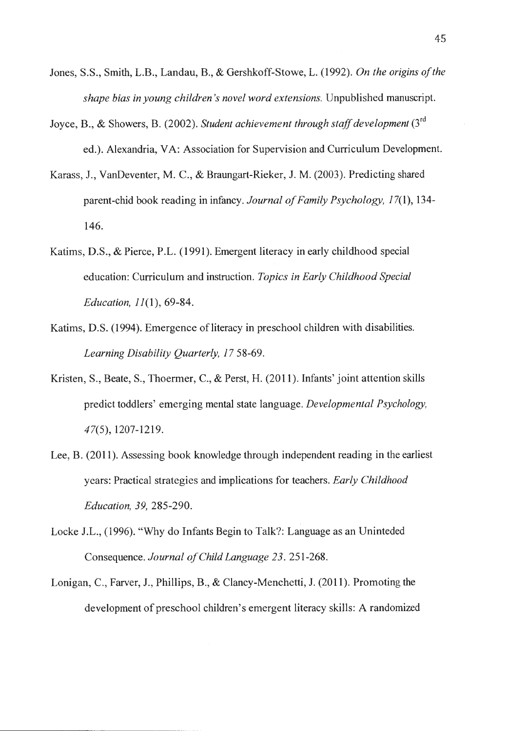- Jones, S.S., Smith, L.B., Landau, B., & Gershkoff-Stowe, L. (1992). *On the origins of the shape bias in young children's novel word extensions.* Unpublished manuscript.
- Joyce, B., & Showers, B. (2002). *Student achievement through staff development* (3rd ed.). Alexandria, VA: Association for Supervision and Curriculum Development.
- Karass, J., VanDeventer, M. C., & Braungart-Rieker, J.M. (2003). Predicting shared parent-chid book reading in infancy. *Journal of Family Psychology,* 17(1), 134- 146.
- Katims, D.S., & Pierce, P.L. (1991). Emergent literacy in early childhood special education: Curriculum and instruction. *Topics in Early Childhood Special Education, 11(1),* 69-84.
- Katims, D.S. (1994). Emergence of literacy in preschool children with disabilities. *Learning Disability Quarterly, 17* 58-69.
- Kristen, S., Beate, S., Thoermer, C., & Perst, H. (2011). Infants' joint attention skills predict toddlers' emerging mental state language. *Developmental Psychology,*  47(5), 1207-1219.
- Lee, B. (2011). Assessing book knowledge through independent reading in the earliest years: Practical strategies and implications for teachers. *Early Childhood Education, 39,* 285-290.
- Locke J.L., (1996). "Why do Infants Begin to Talk?: Language as an Uninteded Consequence. *Journal of Child Language 23.* 251-268.
- Lonigan, C., Farver, J., Phillips, B., & Clancy-Menchetti, J. (2011). Promoting the development of preschool children's emergent literacy skills: A randomized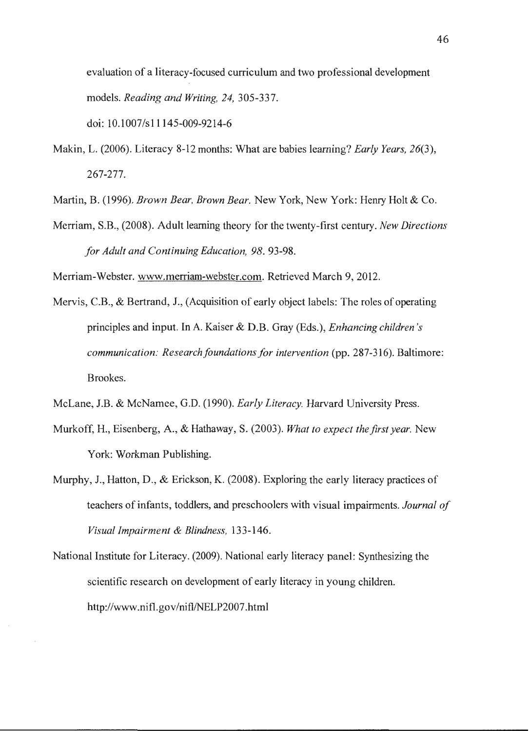evaluation of a literacy-focused curriculum and two professional development models. *Reading and Writing, 24,* 305-337.

doi: 10.1007/sl 1145-009-9214-6

Makin, L. (2006). Literacy 8-12 months: What are babies learning? *Early Years, 26(3),*  267-277.

Martin, B. (1996). *Brown Bear, Brown Bear.* New York, New York: Henry Holt & Co.

Merriam, S.B., (2008). Adult learning theory for the twenty-first century. *New Directions for Adult and Continuing Education, 98.* 93-98.

Merriam-Webster. www.merriam-webster.com. Retrieved March 9, 2012.

- Mervis, C.B., & Bertrand, J., (Acquisition of early object labels: The roles of operating principles and input. In A. Kaiser & D.B. Gray (Eds.), *Enhancing children's communication: Research foundations for intervention (pp. 287-316). Baltimore:* Brookes.
- McLane, J.B. & McNamee, G.D. (1990). *Early Literacy.* Harvard University Press.
- Murkoff, H., Eisenberg, A., & Hathaway, S. (2003). *What to expect the first year.* New York: Workman Publishing.
- Murphy, J., Hatton, D., & Erickson, K. (2008). Exploring the early literacy practices of teachers of infants, toddlers, and preschoolers with visual impairments. *Journal of Visual Impairment & Blindness,* 133-146.
- National Institute for Literacy. (2009). National early literacy panel: Synthesizing the scientific research on development of early literacy in young children. http://www.nifl.gov/nifl/NELP2007 .html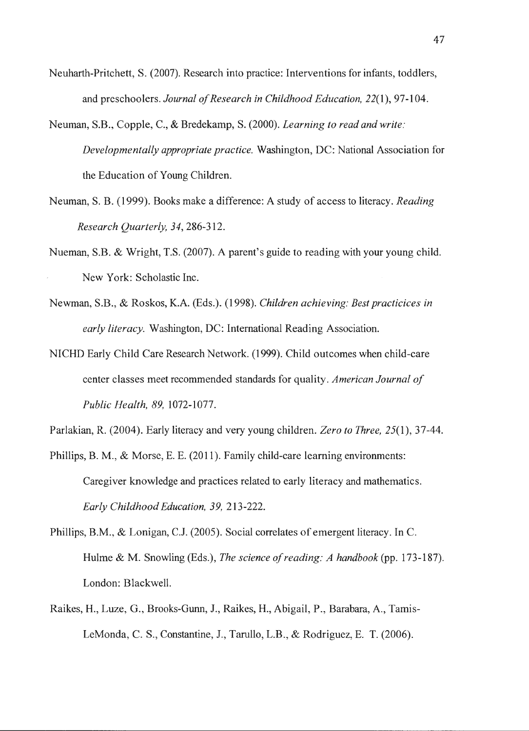- Neuharth-Pritchett, S. (2007). Research into practice: Interventions for infants, toddlers, and preschoolers. *Journal of Research in Childhood Education, 22(1),* 97-104.
- Neuman, S.B., Copple, C., & Bredekamp, S. (2000). *Learning to read and write: Developmentally appropriate practice.* Washington, DC: National Association for the Education of Young Children.
- Neuman, S. B. (1999). Books make a difference: A study of access to literacy. *Reading Research Quarterly, 34,* 286-312.
- Nueman, S.B. & Wright, T.S. (2007). A parent's guide to reading with your young child. New York: Scholastic Inc.
- Newman, S.B., & Roskos, K.A. (Eds.). (1998). *Children achieving: Best practicices in early literacy.* Washington, DC: International Reading Association.
- NICHD Early Child Care Research Network. (1999). Child outcomes when child-care center classes meet recommended standards for quality. *American Journal of Public Health, 89,* 1072-1077.

Parlakian, R. (2004). Early literacy and very young children. *Zero to Three,* 25(1), 37-44.

- Phillips, B. M., & Morse, E. E. (2011). Family child-care learning environments: Caregiver knowledge and practices related to early literacy and mathematics. *Early Childhood Education, 39,* 213-222.
- Phillips, B.M., & Lonigan, CJ. (2005). Social correlates of emergent literacy. In C. Hulme & M. Snowling (Eds.), *The science of reading: A handbook* (pp. 173-187). London: Blackwell.
- Raikes, H., Luze, G., Brooks-Gunn, J., Raikes, H., Abigail, P., Barabara, A., Tamis-LeMonda, C. S., Constantine, J., Tarullo, L.B., & Rodriguez, E. T. (2006).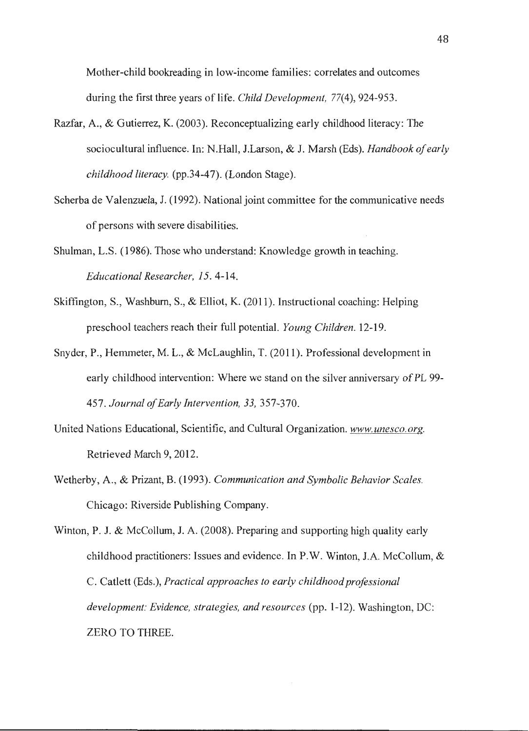Mother-child bookreading in low-income families: correlates and outcomes during the first three years of life. *Child Development,* 77(4), 924-953.

- Razfar, A., & Gutierrez, K. (2003). Reconceptualizing early childhood literacy: The sociocultural influence. In: N.Hall, I.Larson, & J. Marsh (Eds). *Handbook of early childhood literacy.* (pp.34-47). (London Stage).
- Scherba de Valenzuela, J. (1992). National joint committee for the communicative needs of persons with severe disabilities.
- Shulman, L.S. (1986). Those who understand: Knowledge growth in teaching. *Educational Researcher, 15.* 4-14.
- Skiffington, S., Washburn, S., & Elliot, K. (2011). Instructional coaching: Helping preschool teachers reach their full potential. *Young Children.* 12-19.
- Snyder, P., Hemmeter, M. L., & McLaughlin, T. (2011). Professional development in early childhood intervention: Where we stand on the silver anniversary of PL 99- 457. *Journal of Early Intervention, 33,* 357-370.
- United Nations Educational, Scientific, and Cultural Organization. *www.unesco.org.*  Retrieved March 9, 2012.
- Wetherby, A., & Prizant, B. (1993). *Communication and Symbolic Behavior Scales.*  Chicago: Riverside Publishing Company.

Winton, P. J. & McCollum, J. A. (2008). Preparing and supporting high quality early childhood practitioners: Issues and evidence. In P.W. Winton, J.A. McCollum, & C. Catlett (Eds.), *Practical approaches to early childhood professional development: Evidence, strategies, and resources* (pp. 1-12). Washington, DC: ZERO TO THREE.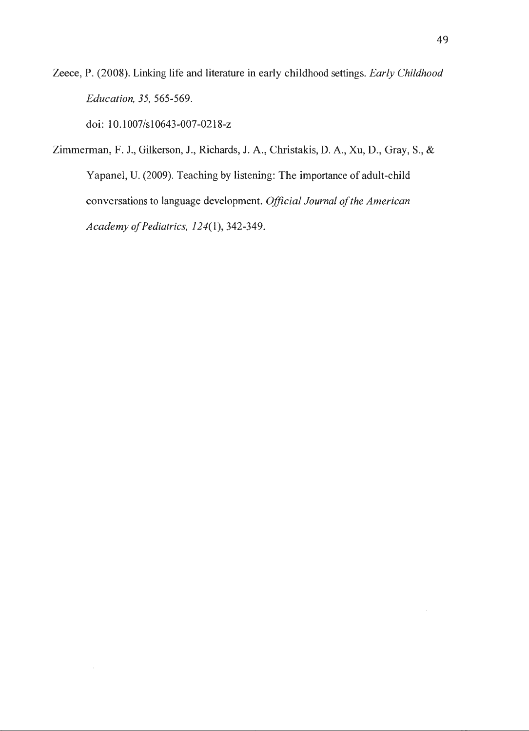Zeece, P. (2008). Linking life and literature in early childhood settings. *Early Childhood Education, 35,* 565-569.

doi: 10.1007/s10643-007-0218-z

Zimmerman, F. J., Gilkerson, J., Richards, J. A., Christakis, D. A., Xu, D., Gray, S., & Yapanel, U. (2009). Teaching by listening: The importance of adult-child conversations to language development. *Official Journal of the American Academy of Pediatrics, 124(1),* 342-349.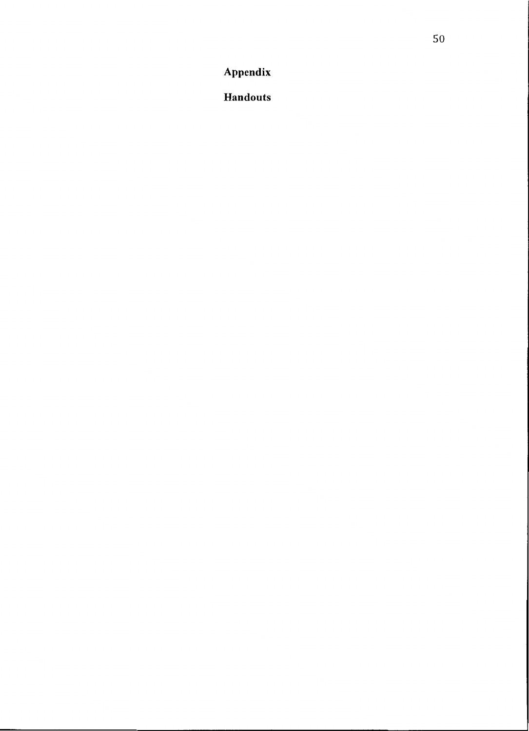**Appendix** 

**Handouts**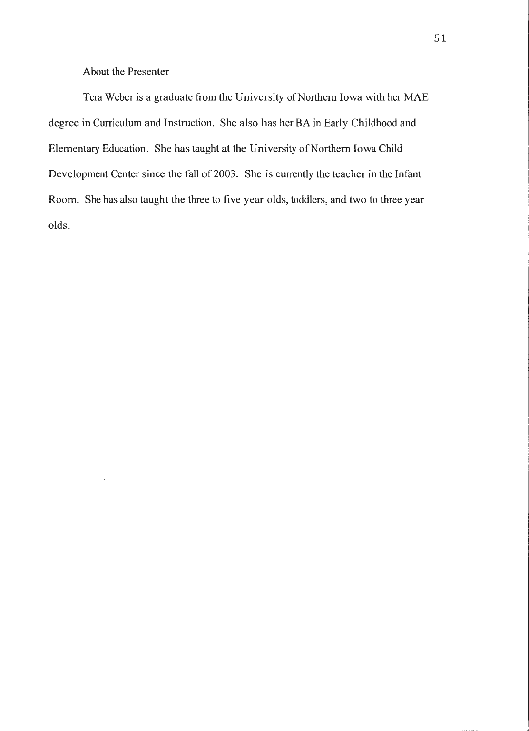About the Presenter

Tera Weber is a graduate from the University of Northern Iowa with her MAE degree in Curriculum and Instruction. She also has her BA in Early Childhood and Elementary Education. She has taught at the University of Northern Iowa Child Development Center since the fall of 2003. She is currently the teacher in the Infant Room. She has also taught the three to five year olds, toddlers, and two to three year olds.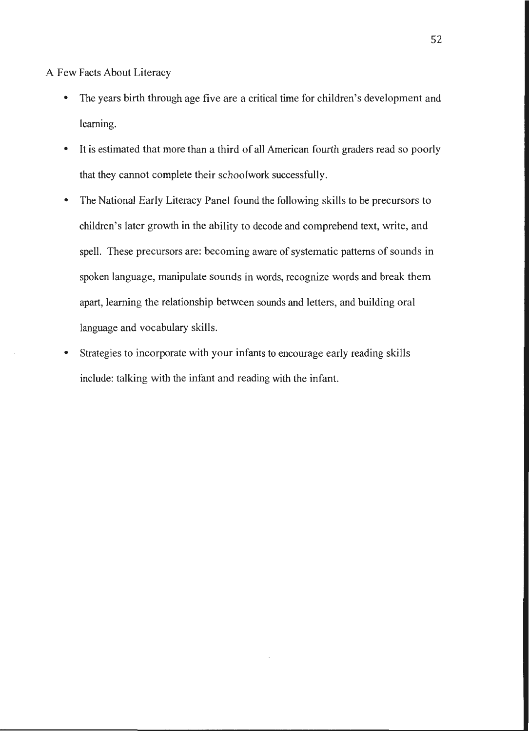A Few Facts About Literacy

- The years birth through age five are a critical time for children's development and learning.
- It is estimated that more than a third of all American fourth graders read so poorly that they cannot complete their schoolwork successfully.
- The National Early Literacy Panel found the following skills to be precursors to children's later growth in the ability to decode and comprehend text, write, and spell. These precursors are: becoming aware of systematic patterns of sounds in spoken language, manipulate sounds in words, recognize words and break them apart, learning the relationship between sounds and letters, and building oral language and vocabulary skills.
- Strategies to incorporate with your infants to encourage early reading skills include: talking with the infant and reading with the infant.